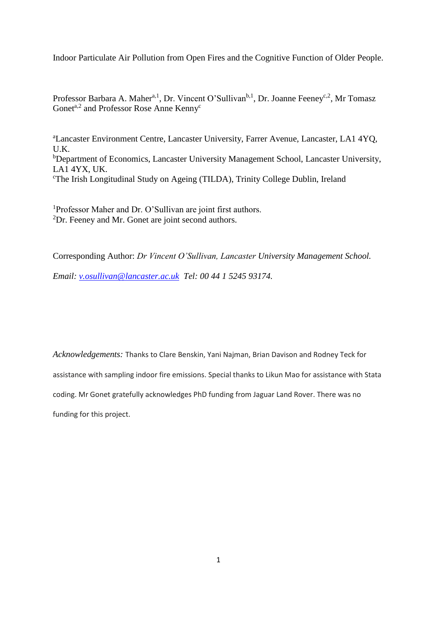Indoor Particulate Air Pollution from Open Fires and the Cognitive Function of Older People.

Professor Barbara A. Maher<sup>a, 1</sup>, Dr. Vincent O'Sullivan<sup>b, 1</sup>, Dr. Joanne Feeney<sup>c, 2</sup>, Mr Tomasz Gonet<sup>a,2</sup> and Professor Rose Anne Kenny<sup>c</sup>

<sup>a</sup>Lancaster Environment Centre, Lancaster University, Farrer Avenue, Lancaster, LA1 4YQ, U.K. <sup>b</sup>Department of Economics, Lancaster University Management School, Lancaster University, LA1 4YX, UK. <sup>c</sup>The Irish Longitudinal Study on Ageing (TILDA), Trinity College Dublin, Ireland

<sup>1</sup>Professor Maher and Dr. O'Sullivan are joint first authors. <sup>2</sup>Dr. Feeney and Mr. Gonet are joint second authors.

Corresponding Author: *Dr Vincent O'Sullivan, Lancaster University Management School.* 

*Email: [v.osullivan@lancaster.ac.uk](mailto:v.osullivan@lancaster.ac.uk) Tel: 00 44 1 5245 93174.*

*Acknowledgements:* Thanks to Clare Benskin, Yani Najman, Brian Davison and Rodney Teck for assistance with sampling indoor fire emissions. Special thanks to Likun Mao for assistance with Stata coding. Mr Gonet gratefully acknowledges PhD funding from Jaguar Land Rover. There was no funding for this project.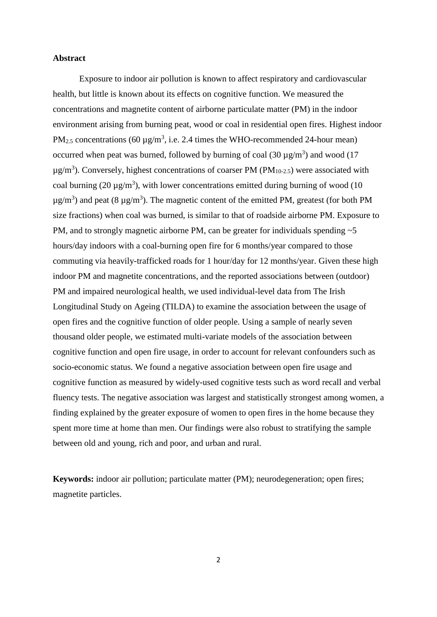## **Abstract**

Exposure to indoor air pollution is known to affect respiratory and cardiovascular health, but little is known about its effects on cognitive function. We measured the concentrations and magnetite content of airborne particulate matter (PM) in the indoor environment arising from burning peat, wood or coal in residential open fires. Highest indoor PM<sub>2.5</sub> concentrations (60  $\mu$ g/m<sup>3</sup>, i.e. 2.4 times the WHO-recommended 24-hour mean) occurred when peat was burned, followed by burning of coal  $(30 \mu g/m^3)$  and wood  $(17$  $\mu$ g/m<sup>3</sup>). Conversely, highest concentrations of coarser PM (PM<sub>10-2.5</sub>) were associated with coal burning (20  $\mu$ g/m<sup>3</sup>), with lower concentrations emitted during burning of wood (10  $\mu$ g/m<sup>3</sup>) and peat (8  $\mu$ g/m<sup>3</sup>). The magnetic content of the emitted PM, greatest (for both PM size fractions) when coal was burned, is similar to that of roadside airborne PM. Exposure to PM, and to strongly magnetic airborne PM, can be greater for individuals spending  $\sim$  5 hours/day indoors with a coal-burning open fire for 6 months/year compared to those commuting via heavily-trafficked roads for 1 hour/day for 12 months/year. Given these high indoor PM and magnetite concentrations, and the reported associations between (outdoor) PM and impaired neurological health, we used individual-level data from The Irish Longitudinal Study on Ageing (TILDA) to examine the association between the usage of open fires and the cognitive function of older people. Using a sample of nearly seven thousand older people, we estimated multi-variate models of the association between cognitive function and open fire usage, in order to account for relevant confounders such as socio-economic status. We found a negative association between open fire usage and cognitive function as measured by widely-used cognitive tests such as word recall and verbal fluency tests. The negative association was largest and statistically strongest among women, a finding explained by the greater exposure of women to open fires in the home because they spent more time at home than men. Our findings were also robust to stratifying the sample between old and young, rich and poor, and urban and rural.

**Keywords:** indoor air pollution; particulate matter (PM); neurodegeneration; open fires; magnetite particles.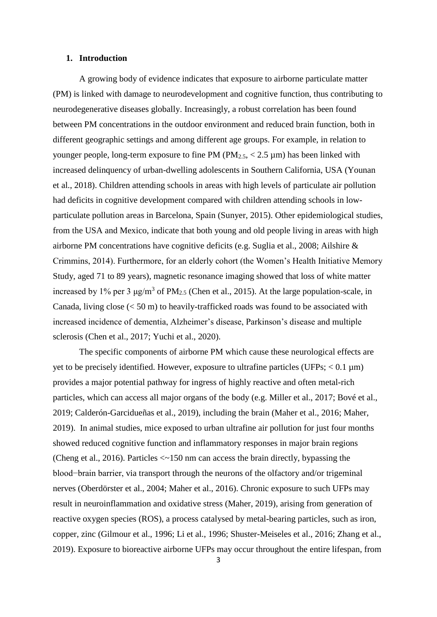## **1. Introduction**

A growing body of evidence indicates that exposure to airborne particulate matter (PM) is linked with damage to neurodevelopment and cognitive function, thus contributing to neurodegenerative diseases globally. Increasingly, a robust correlation has been found between PM concentrations in the outdoor environment and reduced brain function, both in different geographic settings and among different age groups. For example, in relation to younger people, long-term exposure to fine PM ( $PM_{2.5}$ ,  $<$  2.5  $\mu$ m) has been linked with increased delinquency of urban-dwelling adolescents in Southern California, USA (Younan et al., 2018). Children attending schools in areas with high levels of particulate air pollution had deficits in cognitive development compared with children attending schools in lowparticulate pollution areas in Barcelona, Spain (Sunyer, 2015). Other epidemiological studies, from the USA and Mexico, indicate that both young and old people living in areas with high airborne PM concentrations have cognitive deficits (e.g. Suglia et al., 2008; Ailshire & Crimmins, 2014). Furthermore, for an elderly cohort (the Women's Health Initiative Memory Study, aged 71 to 89 years), magnetic resonance imaging showed that loss of white matter increased by 1% per 3  $\mu$ g/m<sup>3</sup> of PM<sub>2.5</sub> (Chen et al., 2015). At the large population-scale, in Canada, living close (< 50 m) to heavily-trafficked roads was found to be associated with increased incidence of dementia, Alzheimer's disease, Parkinson's disease and multiple sclerosis (Chen et al., 2017; Yuchi et al., 2020).

The specific components of airborne PM which cause these neurological effects are yet to be precisely identified. However, exposure to ultrafine particles (UFPs;  $< 0.1 \mu m$ ) provides a major potential pathway for ingress of highly reactive and often metal-rich particles, which can access all major organs of the body (e.g. Miller et al., 2017; Bové et al., 2019; Calderón-Garcidueñas et al., 2019), including the brain (Maher et al., 2016; Maher, 2019). In animal studies, mice exposed to urban ultrafine air pollution for just four months showed reduced cognitive function and inflammatory responses in major brain regions (Cheng et al., 2016). Particles <~150 nm can access the brain directly, bypassing the blood−brain barrier, via transport through the neurons of the olfactory and/or trigeminal nerves (Oberdörster et al., 2004; Maher et al., 2016). Chronic exposure to such UFPs may result in neuroinflammation and oxidative stress (Maher, 2019), arising from generation of reactive oxygen species (ROS), a process catalysed by metal-bearing particles, such as iron, copper, zinc (Gilmour et al., 1996; Li et al., 1996; Shuster-Meiseles et al., 2016; Zhang et al., 2019). Exposure to bioreactive airborne UFPs may occur throughout the entire lifespan, from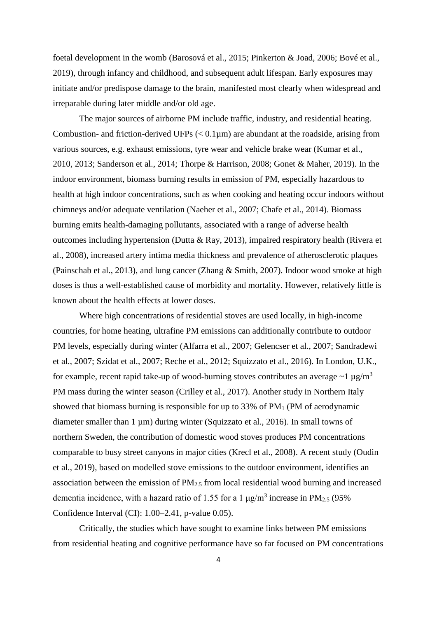foetal development in the womb (Barosová et al., 2015; Pinkerton & Joad, 2006; Bové et al., 2019), through infancy and childhood, and subsequent adult lifespan. Early exposures may initiate and/or predispose damage to the brain, manifested most clearly when widespread and irreparable during later middle and/or old age.

The major sources of airborne PM include traffic, industry, and residential heating. Combustion- and friction-derived UFPs  $(< 0.1 \mu m$ ) are abundant at the roadside, arising from various sources, e.g. exhaust emissions, tyre wear and vehicle brake wear (Kumar et al., 2010, 2013; Sanderson et al., 2014; Thorpe & Harrison, 2008; Gonet & Maher, 2019). In the indoor environment, biomass burning results in emission of PM, especially hazardous to health at high indoor concentrations, such as when cooking and heating occur indoors without chimneys and/or adequate ventilation (Naeher et al., 2007; Chafe et al., 2014). Biomass burning emits health-damaging pollutants, associated with a range of adverse health outcomes including hypertension (Dutta & Ray, 2013), impaired respiratory health (Rivera et al., 2008), increased artery intima media thickness and prevalence of atherosclerotic plaques (Painschab et al., 2013), and lung cancer (Zhang & Smith, 2007). Indoor wood smoke at high doses is thus a well-established cause of morbidity and mortality. However, relatively little is known about the health effects at lower doses.

Where high concentrations of residential stoves are used locally, in high-income countries, for home heating, ultrafine PM emissions can additionally contribute to outdoor PM levels, especially during winter (Alfarra et al., 2007; Gelencser et al., 2007; Sandradewi et al., 2007; Szidat et al., 2007; Reche et al., 2012; Squizzato et al., 2016). In London, U.K., for example, recent rapid take-up of wood-burning stoves contributes an average  $\sim 1 \mu g/m^3$ PM mass during the winter season (Crilley et al., 2017). Another study in Northern Italy showed that biomass burning is responsible for up to  $33\%$  of PM<sub>1</sub> (PM of aerodynamic diameter smaller than 1 µm) during winter (Squizzato et al., 2016). In small towns of northern Sweden, the contribution of domestic wood stoves produces PM concentrations comparable to busy street canyons in major cities (Krecl et al., 2008). A recent study (Oudin et al., 2019), based on modelled stove emissions to the outdoor environment, identifies an association between the emission of PM2.5 from local residential wood burning and increased dementia incidence, with a hazard ratio of 1.55 for a 1  $\mu$ g/m<sup>3</sup> increase in PM<sub>2.5</sub> (95%) Confidence Interval (CI): 1.00–2.41, p-value 0.05).

Critically, the studies which have sought to examine links between PM emissions from residential heating and cognitive performance have so far focused on PM concentrations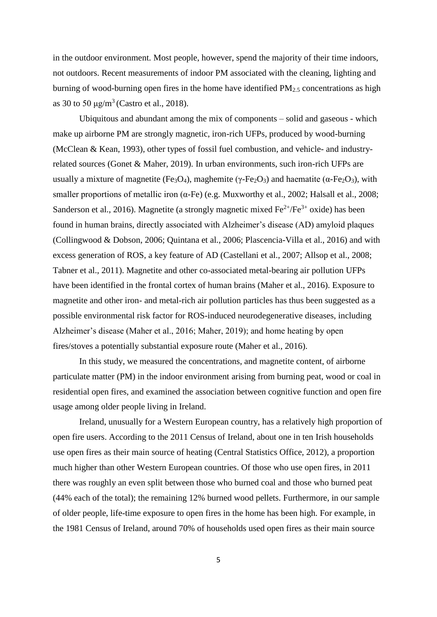in the outdoor environment. Most people, however, spend the majority of their time indoors, not outdoors. Recent measurements of indoor PM associated with the cleaning, lighting and burning of wood-burning open fires in the home have identified PM<sub>2.5</sub> concentrations as high as 30 to 50  $\mu$ g/m<sup>3</sup> (Castro et al., 2018).

Ubiquitous and abundant among the mix of components – solid and gaseous - which make up airborne PM are strongly magnetic, iron-rich UFPs, produced by wood-burning (McClean & Kean, 1993), other types of fossil fuel combustion, and vehicle- and industryrelated sources (Gonet & Maher, 2019). In urban environments, such iron-rich UFPs are usually a mixture of magnetite (Fe<sub>3</sub>O<sub>4</sub>), maghemite (γ-Fe<sub>2</sub>O<sub>3</sub>) and haematite (α-Fe<sub>2</sub>O<sub>3</sub>), with smaller proportions of metallic iron (α-Fe) (e.g. Muxworthy et al., 2002; Halsall et al., 2008; Sanderson et al., 2016). Magnetite (a strongly magnetic mixed  $Fe^{2+}/Fe^{3+}$  oxide) has been found in human brains, directly associated with Alzheimer's disease (AD) amyloid plaques (Collingwood & Dobson, 2006; Quintana et al., 2006; Plascencia-Villa et al., 2016) and with excess generation of ROS, a key feature of AD (Castellani et al., 2007; Allsop et al., 2008; Tabner et al., 2011). Magnetite and other co-associated metal-bearing air pollution UFPs have been identified in the frontal cortex of human brains (Maher et al., 2016). Exposure to magnetite and other iron- and metal-rich air pollution particles has thus been suggested as a possible environmental risk factor for ROS-induced neurodegenerative diseases, including Alzheimer's disease (Maher et al., 2016; Maher, 2019); and home heating by open fires/stoves a potentially substantial exposure route (Maher et al., 2016).

In this study, we measured the concentrations, and magnetite content, of airborne particulate matter (PM) in the indoor environment arising from burning peat, wood or coal in residential open fires, and examined the association between cognitive function and open fire usage among older people living in Ireland.

Ireland, unusually for a Western European country, has a relatively high proportion of open fire users. According to the 2011 Census of Ireland, about one in ten Irish households use open fires as their main source of heating (Central Statistics Office, 2012), a proportion much higher than other Western European countries. Of those who use open fires, in 2011 there was roughly an even split between those who burned coal and those who burned peat (44% each of the total); the remaining 12% burned wood pellets. Furthermore, in our sample of older people, life-time exposure to open fires in the home has been high. For example, in the 1981 Census of Ireland, around 70% of households used open fires as their main source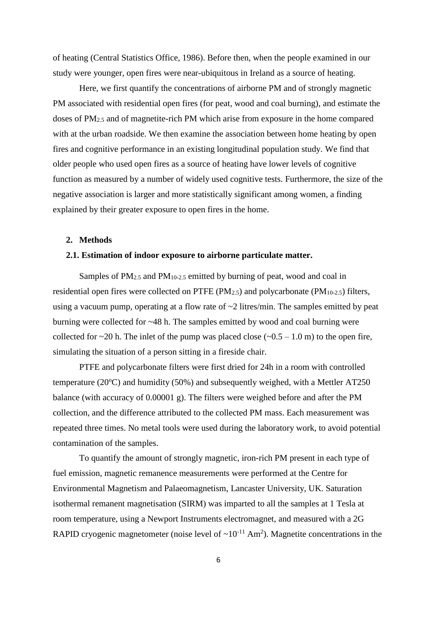of heating (Central Statistics Office, 1986). Before then, when the people examined in our study were younger, open fires were near-ubiquitous in Ireland as a source of heating.

Here, we first quantify the concentrations of airborne PM and of strongly magnetic PM associated with residential open fires (for peat, wood and coal burning), and estimate the doses of PM2.5 and of magnetite-rich PM which arise from exposure in the home compared with at the urban roadside. We then examine the association between home heating by open fires and cognitive performance in an existing longitudinal population study. We find that older people who used open fires as a source of heating have lower levels of cognitive function as measured by a number of widely used cognitive tests. Furthermore, the size of the negative association is larger and more statistically significant among women, a finding explained by their greater exposure to open fires in the home.

# **2. Methods**

## **2.1. Estimation of indoor exposure to airborne particulate matter.**

Samples of PM<sub>2.5</sub> and PM<sub>10-2.5</sub> emitted by burning of peat, wood and coal in residential open fires were collected on PTFE ( $PM_{2.5}$ ) and polycarbonate ( $PM_{10-2.5}$ ) filters, using a vacuum pump, operating at a flow rate of  $\sim$ 2 litres/min. The samples emitted by peat burning were collected for ~48 h. The samples emitted by wood and coal burning were collected for  $\sim$ 20 h. The inlet of the pump was placed close ( $\sim$ 0.5 – 1.0 m) to the open fire, simulating the situation of a person sitting in a fireside chair.

PTFE and polycarbonate filters were first dried for 24h in a room with controlled temperature ( $20^{\circ}$ C) and humidity (50%) and subsequently weighed, with a Mettler AT250 balance (with accuracy of 0.00001 g). The filters were weighed before and after the PM collection, and the difference attributed to the collected PM mass. Each measurement was repeated three times. No metal tools were used during the laboratory work, to avoid potential contamination of the samples.

To quantify the amount of strongly magnetic, iron-rich PM present in each type of fuel emission, magnetic remanence measurements were performed at the Centre for Environmental Magnetism and Palaeomagnetism, Lancaster University, UK. Saturation isothermal remanent magnetisation (SIRM) was imparted to all the samples at 1 Tesla at room temperature, using a Newport Instruments electromagnet, and measured with a 2G RAPID cryogenic magnetometer (noise level of  $\sim 10^{-11}$  Am<sup>2</sup>). Magnetite concentrations in the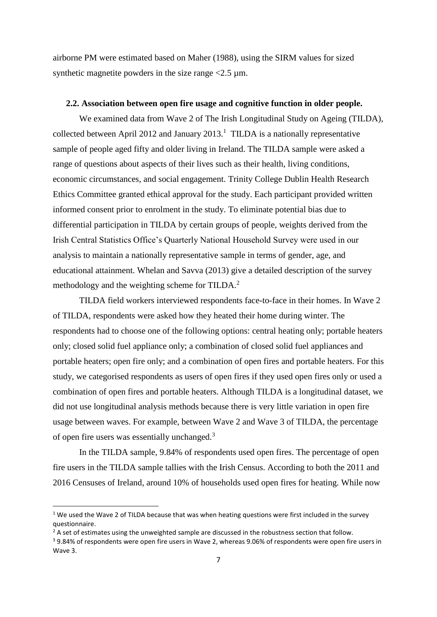airborne PM were estimated based on Maher (1988), using the SIRM values for sized synthetic magnetite powders in the size range  $\langle 2.5 \mu m$ .

# **2.2. Association between open fire usage and cognitive function in older people.**

We examined data from Wave 2 of The Irish Longitudinal Study on Ageing (TILDA), collected between April 2012 and January  $2013$ .<sup>1</sup> TILDA is a nationally representative sample of people aged fifty and older living in Ireland. The TILDA sample were asked a range of questions about aspects of their lives such as their health, living conditions, economic circumstances, and social engagement. Trinity College Dublin Health Research Ethics Committee granted ethical approval for the study. Each participant provided written informed consent prior to enrolment in the study. To eliminate potential bias due to differential participation in TILDA by certain groups of people, weights derived from the Irish Central Statistics Office's Quarterly National Household Survey were used in our analysis to maintain a nationally representative sample in terms of gender, age, and educational attainment. Whelan and Savva (2013) give a detailed description of the survey methodology and the weighting scheme for TILDA.<sup>2</sup>

TILDA field workers interviewed respondents face-to-face in their homes. In Wave 2 of TILDA, respondents were asked how they heated their home during winter. The respondents had to choose one of the following options: central heating only; portable heaters only; closed solid fuel appliance only; a combination of closed solid fuel appliances and portable heaters; open fire only; and a combination of open fires and portable heaters. For this study, we categorised respondents as users of open fires if they used open fires only or used a combination of open fires and portable heaters. Although TILDA is a longitudinal dataset, we did not use longitudinal analysis methods because there is very little variation in open fire usage between waves. For example, between Wave 2 and Wave 3 of TILDA, the percentage of open fire users was essentially unchanged.<sup>3</sup>

In the TILDA sample, 9.84% of respondents used open fires. The percentage of open fire users in the TILDA sample tallies with the Irish Census. According to both the 2011 and 2016 Censuses of Ireland, around 10% of households used open fires for heating. While now

**.** 

 $1$  We used the Wave 2 of TILDA because that was when heating questions were first included in the survey questionnaire.

 $<sup>2</sup>$  A set of estimates using the unweighted sample are discussed in the robustness section that follow.</sup>

<sup>3</sup> 9.84% of respondents were open fire users in Wave 2, whereas 9.06% of respondents were open fire users in Wave 3.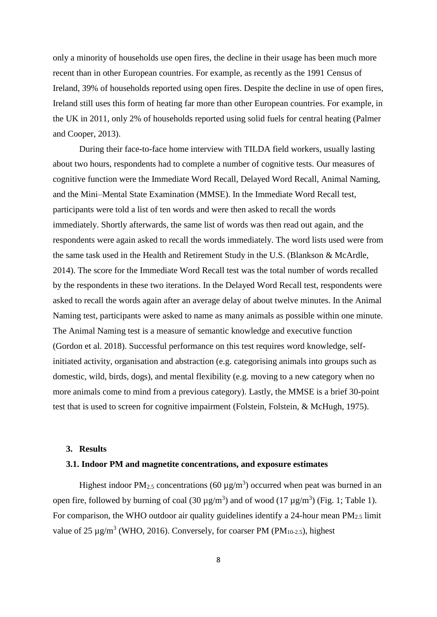only a minority of households use open fires, the decline in their usage has been much more recent than in other European countries. For example, as recently as the 1991 Census of Ireland, 39% of households reported using open fires. Despite the decline in use of open fires, Ireland still uses this form of heating far more than other European countries. For example, in the UK in 2011, only 2% of households reported using solid fuels for central heating (Palmer and Cooper, 2013).

During their face-to-face home interview with TILDA field workers, usually lasting about two hours, respondents had to complete a number of cognitive tests. Our measures of cognitive function were the Immediate Word Recall, Delayed Word Recall, Animal Naming, and the Mini–Mental State Examination (MMSE). In the Immediate Word Recall test, participants were told a list of ten words and were then asked to recall the words immediately. Shortly afterwards, the same list of words was then read out again, and the respondents were again asked to recall the words immediately. The word lists used were from the same task used in the Health and Retirement Study in the U.S. (Blankson & McArdle, 2014). The score for the Immediate Word Recall test was the total number of words recalled by the respondents in these two iterations. In the Delayed Word Recall test, respondents were asked to recall the words again after an average delay of about twelve minutes. In the Animal Naming test, participants were asked to name as many animals as possible within one minute. The Animal Naming test is a measure of semantic knowledge and executive function (Gordon et al. 2018). Successful performance on this test requires word knowledge, selfinitiated activity, organisation and abstraction (e.g. categorising animals into groups such as domestic, wild, birds, dogs), and mental flexibility (e.g. moving to a new category when no more animals come to mind from a previous category). Lastly, the MMSE is a brief 30-point test that is used to screen for cognitive impairment (Folstein, Folstein, & McHugh, 1975).

#### **3. Results**

#### **3.1. Indoor PM and magnetite concentrations, and exposure estimates**

Highest indoor PM<sub>2.5</sub> concentrations (60  $\mu$ g/m<sup>3</sup>) occurred when peat was burned in an open fire, followed by burning of coal  $(30 \,\mu\text{g/m}^3)$  and of wood  $(17 \,\mu\text{g/m}^3)$  (Fig. 1; Table 1). For comparison, the WHO outdoor air quality guidelines identify a 24-hour mean  $PM_{2.5}$  limit value of 25  $\mu$ g/m<sup>3</sup> (WHO, 2016). Conversely, for coarser PM (PM<sub>10-2.5</sub>), highest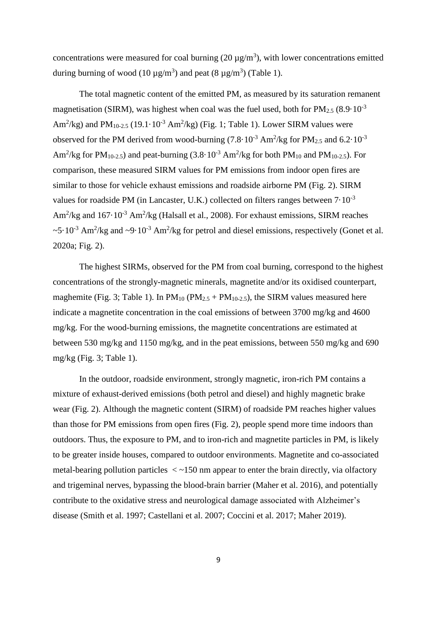concentrations were measured for coal burning  $(20 \mu g/m^3)$ , with lower concentrations emitted during burning of wood  $(10 \mu g/m^3)$  and peat  $(8 \mu g/m^3)$  (Table 1).

The total magnetic content of the emitted PM, as measured by its saturation remanent magnetisation (SIRM), was highest when coal was the fuel used, both for  $PM_{2.5}$  (8.9·10<sup>-3</sup> Am<sup>2</sup>/kg) and PM<sub>10-2.5</sub> (19.1 $\cdot$ 10<sup>-3</sup> Am<sup>2</sup>/kg) (Fig. 1; Table 1). Lower SIRM values were observed for the PM derived from wood-burning  $(7.8 \cdot 10^{-3} \text{ Am}^2/\text{kg}$  for PM<sub>2.5</sub> and  $6.2 \cdot 10^{-3}$ Am<sup>2</sup>/kg for PM<sub>10-2.5</sub>) and peat-burning (3.8·10<sup>-3</sup> Am<sup>2</sup>/kg for both PM<sub>10</sub> and PM<sub>10-2.5</sub>). For comparison, these measured SIRM values for PM emissions from indoor open fires are similar to those for vehicle exhaust emissions and roadside airborne PM (Fig. 2). SIRM values for roadside PM (in Lancaster, U.K.) collected on filters ranges between  $7 \cdot 10^{-3}$ Am<sup>2</sup>/kg and  $167 \cdot 10^{-3}$  Am<sup>2</sup>/kg (Halsall et al., 2008). For exhaust emissions, SIRM reaches  $\sim$ 5·10<sup>-3</sup> Am<sup>2</sup>/kg and  $\sim$ 9·10<sup>-3</sup> Am<sup>2</sup>/kg for petrol and diesel emissions, respectively (Gonet et al. 2020a; Fig. 2).

The highest SIRMs, observed for the PM from coal burning, correspond to the highest concentrations of the strongly-magnetic minerals, magnetite and/or its oxidised counterpart, maghemite (Fig. 3; Table 1). In  $PM_{10}$  ( $PM_{2.5}$  +  $PM_{10-2.5}$ ), the SIRM values measured here indicate a magnetite concentration in the coal emissions of between 3700 mg/kg and 4600 mg/kg. For the wood-burning emissions, the magnetite concentrations are estimated at between 530 mg/kg and 1150 mg/kg, and in the peat emissions, between 550 mg/kg and 690 mg/kg (Fig. 3; Table 1).

In the outdoor, roadside environment, strongly magnetic, iron-rich PM contains a mixture of exhaust-derived emissions (both petrol and diesel) and highly magnetic brake wear (Fig. 2). Although the magnetic content (SIRM) of roadside PM reaches higher values than those for PM emissions from open fires (Fig. 2), people spend more time indoors than outdoors. Thus, the exposure to PM, and to iron-rich and magnetite particles in PM, is likely to be greater inside houses, compared to outdoor environments. Magnetite and co-associated metal-bearing pollution particles  $\langle \rangle$  -150 nm appear to enter the brain directly, via olfactory and trigeminal nerves, bypassing the blood-brain barrier (Maher et al. 2016), and potentially contribute to the oxidative stress and neurological damage associated with Alzheimer's disease (Smith et al. 1997; Castellani et al. 2007; Coccini et al. 2017; Maher 2019).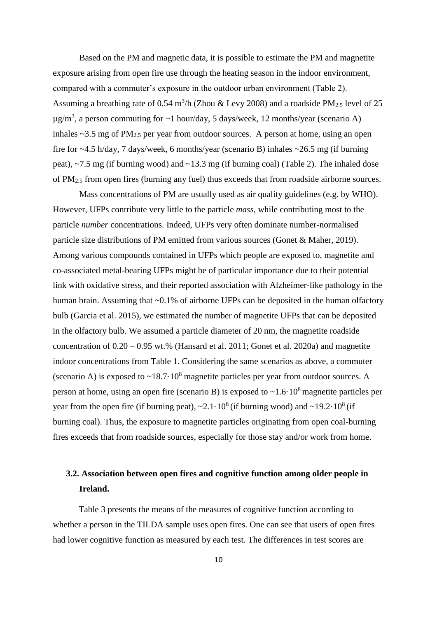Based on the PM and magnetic data, it is possible to estimate the PM and magnetite exposure arising from open fire use through the heating season in the indoor environment, compared with a commuter's exposure in the outdoor urban environment (Table 2). Assuming a breathing rate of 0.54 m<sup>3</sup>/h (Zhou & Levy 2008) and a roadside PM<sub>2.5</sub> level of 25  $\mu$ g/m<sup>3</sup>, a person commuting for ~1 hour/day, 5 days/week, 12 months/year (scenario A) inhales  $\sim$ 3.5 mg of PM<sub>2.5</sub> per year from outdoor sources. A person at home, using an open fire for ~4.5 h/day, 7 days/week, 6 months/year (scenario B) inhales ~26.5 mg (if burning peat), ~7.5 mg (if burning wood) and ~13.3 mg (if burning coal) (Table 2). The inhaled dose of PM2.5 from open fires (burning any fuel) thus exceeds that from roadside airborne sources.

Mass concentrations of PM are usually used as air quality guidelines (e.g. by WHO). However, UFPs contribute very little to the particle *mass*, while contributing most to the particle *number* concentrations. Indeed, UFPs very often dominate number-normalised particle size distributions of PM emitted from various sources (Gonet & Maher, 2019). Among various compounds contained in UFPs which people are exposed to, magnetite and co-associated metal-bearing UFPs might be of particular importance due to their potential link with oxidative stress, and their reported association with Alzheimer-like pathology in the human brain. Assuming that ~0.1% of airborne UFPs can be deposited in the human olfactory bulb (Garcia et al. 2015), we estimated the number of magnetite UFPs that can be deposited in the olfactory bulb. We assumed a particle diameter of 20 nm, the magnetite roadside concentration of  $0.20 - 0.95$  wt.% (Hansard et al. 2011; Gonet et al. 2020a) and magnetite indoor concentrations from Table 1. Considering the same scenarios as above, a commuter (scenario A) is exposed to  $\sim$ 18.7 $\cdot$ 10<sup>8</sup> magnetite particles per year from outdoor sources. A person at home, using an open fire (scenario B) is exposed to  $\sim$  1.6 $\cdot$  10<sup>8</sup> magnetite particles per year from the open fire (if burning peat),  $\sim 2.1 \cdot 10^8$  (if burning wood) and  $\sim 19.2 \cdot 10^8$  (if burning coal). Thus, the exposure to magnetite particles originating from open coal-burning fires exceeds that from roadside sources, especially for those stay and/or work from home.

# **3.2. Association between open fires and cognitive function among older people in Ireland.**

Table 3 presents the means of the measures of cognitive function according to whether a person in the TILDA sample uses open fires. One can see that users of open fires had lower cognitive function as measured by each test. The differences in test scores are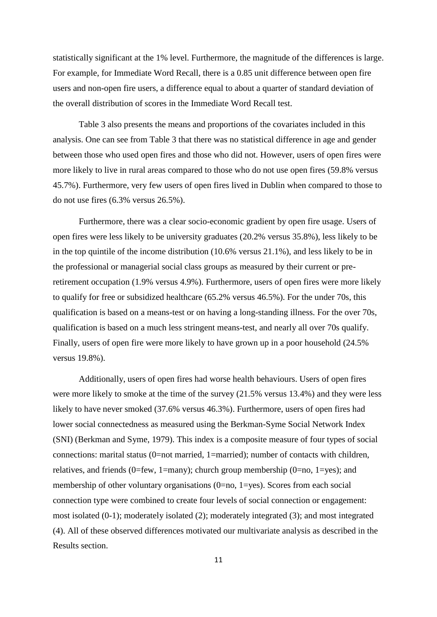statistically significant at the 1% level. Furthermore, the magnitude of the differences is large. For example, for Immediate Word Recall, there is a 0.85 unit difference between open fire users and non-open fire users, a difference equal to about a quarter of standard deviation of the overall distribution of scores in the Immediate Word Recall test.

Table 3 also presents the means and proportions of the covariates included in this analysis. One can see from Table 3 that there was no statistical difference in age and gender between those who used open fires and those who did not. However, users of open fires were more likely to live in rural areas compared to those who do not use open fires (59.8% versus 45.7%). Furthermore, very few users of open fires lived in Dublin when compared to those to do not use fires (6.3% versus 26.5%).

Furthermore, there was a clear socio-economic gradient by open fire usage. Users of open fires were less likely to be university graduates (20.2% versus 35.8%), less likely to be in the top quintile of the income distribution (10.6% versus 21.1%), and less likely to be in the professional or managerial social class groups as measured by their current or preretirement occupation (1.9% versus 4.9%). Furthermore, users of open fires were more likely to qualify for free or subsidized healthcare (65.2% versus 46.5%). For the under 70s, this qualification is based on a means-test or on having a long-standing illness. For the over 70s, qualification is based on a much less stringent means-test, and nearly all over 70s qualify. Finally, users of open fire were more likely to have grown up in a poor household (24.5% versus 19.8%).

Additionally, users of open fires had worse health behaviours. Users of open fires were more likely to smoke at the time of the survey (21.5% versus 13.4%) and they were less likely to have never smoked (37.6% versus 46.3%). Furthermore, users of open fires had lower social connectedness as measured using the Berkman-Syme Social Network Index (SNI) (Berkman and Syme, 1979). This index is a composite measure of four types of social connections: marital status (0=not married, 1=married); number of contacts with children, relatives, and friends (0=few, 1=many); church group membership (0=no, 1=yes); and membership of other voluntary organisations (0=no, 1=yes). Scores from each social connection type were combined to create four levels of social connection or engagement: most isolated (0-1); moderately isolated (2); moderately integrated (3); and most integrated (4). All of these observed differences motivated our multivariate analysis as described in the Results section.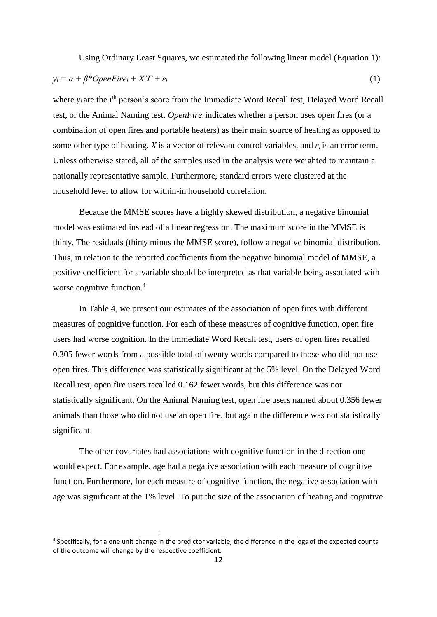Using Ordinary Least Squares, we estimated the following linear model (Equation 1):

$$
y_i = \alpha + \beta^* OpenFire_i + X'T + \varepsilon_i \tag{1}
$$

where  $y_i$  are the i<sup>th</sup> person's score from the Immediate Word Recall test, Delayed Word Recall test, or the Animal Naming test. *OpenFire*<sup>*i*</sup> indicates whether a person uses open fires (or a combination of open fires and portable heaters) as their main source of heating as opposed to some other type of heating. *X* is a vector of relevant control variables, and  $\varepsilon_i$  is an error term. Unless otherwise stated, all of the samples used in the analysis were weighted to maintain a nationally representative sample. Furthermore, standard errors were clustered at the household level to allow for within-in household correlation.

Because the MMSE scores have a highly skewed distribution, a negative binomial model was estimated instead of a linear regression. The maximum score in the MMSE is thirty. The residuals (thirty minus the MMSE score), follow a negative binomial distribution. Thus, in relation to the reported coefficients from the negative binomial model of MMSE, a positive coefficient for a variable should be interpreted as that variable being associated with worse cognitive function.<sup>4</sup>

In Table 4, we present our estimates of the association of open fires with different measures of cognitive function. For each of these measures of cognitive function, open fire users had worse cognition. In the Immediate Word Recall test, users of open fires recalled 0.305 fewer words from a possible total of twenty words compared to those who did not use open fires. This difference was statistically significant at the 5% level. On the Delayed Word Recall test, open fire users recalled 0.162 fewer words, but this difference was not statistically significant. On the Animal Naming test, open fire users named about 0.356 fewer animals than those who did not use an open fire, but again the difference was not statistically significant.

The other covariates had associations with cognitive function in the direction one would expect. For example, age had a negative association with each measure of cognitive function. Furthermore, for each measure of cognitive function, the negative association with age was significant at the 1% level. To put the size of the association of heating and cognitive

 $\overline{a}$ 

<sup>&</sup>lt;sup>4</sup> Specifically, for a one unit change in the predictor variable, the difference in the logs of the expected counts of the outcome will change by the respective coefficient.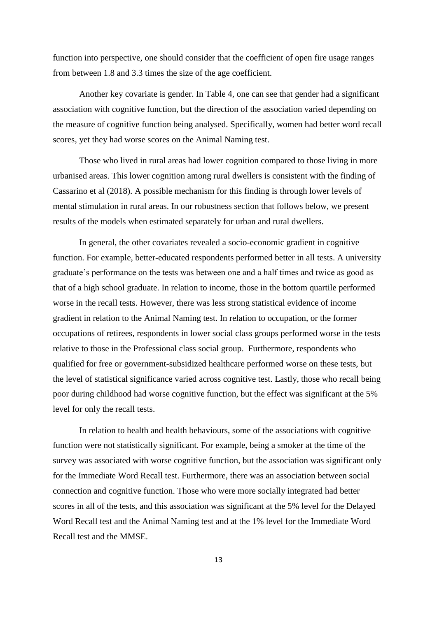function into perspective, one should consider that the coefficient of open fire usage ranges from between 1.8 and 3.3 times the size of the age coefficient.

Another key covariate is gender. In Table 4, one can see that gender had a significant association with cognitive function, but the direction of the association varied depending on the measure of cognitive function being analysed. Specifically, women had better word recall scores, yet they had worse scores on the Animal Naming test.

Those who lived in rural areas had lower cognition compared to those living in more urbanised areas. This lower cognition among rural dwellers is consistent with the finding of Cassarino et al (2018). A possible mechanism for this finding is through lower levels of mental stimulation in rural areas. In our robustness section that follows below, we present results of the models when estimated separately for urban and rural dwellers.

In general, the other covariates revealed a socio-economic gradient in cognitive function. For example, better-educated respondents performed better in all tests. A university graduate's performance on the tests was between one and a half times and twice as good as that of a high school graduate. In relation to income, those in the bottom quartile performed worse in the recall tests. However, there was less strong statistical evidence of income gradient in relation to the Animal Naming test. In relation to occupation, or the former occupations of retirees, respondents in lower social class groups performed worse in the tests relative to those in the Professional class social group. Furthermore, respondents who qualified for free or government-subsidized healthcare performed worse on these tests, but the level of statistical significance varied across cognitive test. Lastly, those who recall being poor during childhood had worse cognitive function, but the effect was significant at the 5% level for only the recall tests.

In relation to health and health behaviours, some of the associations with cognitive function were not statistically significant. For example, being a smoker at the time of the survey was associated with worse cognitive function, but the association was significant only for the Immediate Word Recall test. Furthermore, there was an association between social connection and cognitive function. Those who were more socially integrated had better scores in all of the tests, and this association was significant at the 5% level for the Delayed Word Recall test and the Animal Naming test and at the 1% level for the Immediate Word Recall test and the MMSE.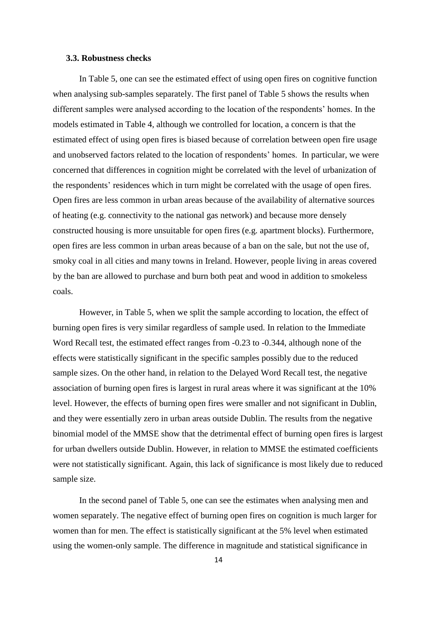### **3.3. Robustness checks**

In Table 5, one can see the estimated effect of using open fires on cognitive function when analysing sub-samples separately. The first panel of Table 5 shows the results when different samples were analysed according to the location of the respondents' homes. In the models estimated in Table 4, although we controlled for location, a concern is that the estimated effect of using open fires is biased because of correlation between open fire usage and unobserved factors related to the location of respondents' homes. In particular, we were concerned that differences in cognition might be correlated with the level of urbanization of the respondents' residences which in turn might be correlated with the usage of open fires. Open fires are less common in urban areas because of the availability of alternative sources of heating (e.g. connectivity to the national gas network) and because more densely constructed housing is more unsuitable for open fires (e.g. apartment blocks). Furthermore, open fires are less common in urban areas because of a ban on the sale, but not the use of, smoky coal in all cities and many towns in Ireland. However, people living in areas covered by the ban are allowed to purchase and burn both peat and wood in addition to smokeless coals.

However, in Table 5, when we split the sample according to location, the effect of burning open fires is very similar regardless of sample used. In relation to the Immediate Word Recall test, the estimated effect ranges from -0.23 to -0.344, although none of the effects were statistically significant in the specific samples possibly due to the reduced sample sizes. On the other hand, in relation to the Delayed Word Recall test, the negative association of burning open fires is largest in rural areas where it was significant at the 10% level. However, the effects of burning open fires were smaller and not significant in Dublin, and they were essentially zero in urban areas outside Dublin. The results from the negative binomial model of the MMSE show that the detrimental effect of burning open fires is largest for urban dwellers outside Dublin. However, in relation to MMSE the estimated coefficients were not statistically significant. Again, this lack of significance is most likely due to reduced sample size.

In the second panel of Table 5, one can see the estimates when analysing men and women separately. The negative effect of burning open fires on cognition is much larger for women than for men. The effect is statistically significant at the 5% level when estimated using the women-only sample. The difference in magnitude and statistical significance in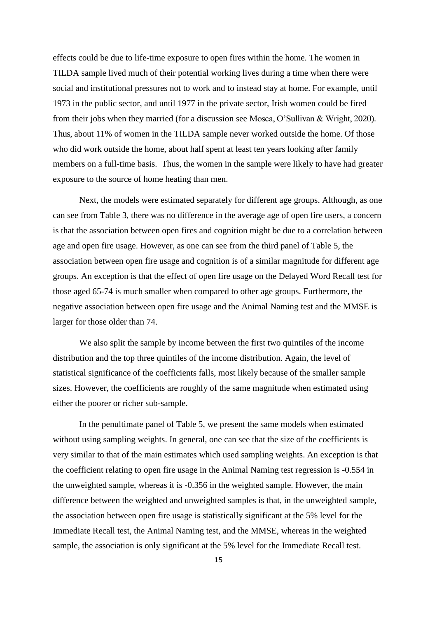effects could be due to life-time exposure to open fires within the home. The women in TILDA sample lived much of their potential working lives during a time when there were social and institutional pressures not to work and to instead stay at home. For example, until 1973 in the public sector, and until 1977 in the private sector, Irish women could be fired from their jobs when they married (for a discussion see Mosca, O'Sullivan & Wright, 2020). Thus, about 11% of women in the TILDA sample never worked outside the home. Of those who did work outside the home, about half spent at least ten years looking after family members on a full-time basis. Thus, the women in the sample were likely to have had greater exposure to the source of home heating than men.

Next, the models were estimated separately for different age groups. Although, as one can see from Table 3, there was no difference in the average age of open fire users, a concern is that the association between open fires and cognition might be due to a correlation between age and open fire usage. However, as one can see from the third panel of Table 5, the association between open fire usage and cognition is of a similar magnitude for different age groups. An exception is that the effect of open fire usage on the Delayed Word Recall test for those aged 65-74 is much smaller when compared to other age groups. Furthermore, the negative association between open fire usage and the Animal Naming test and the MMSE is larger for those older than 74.

We also split the sample by income between the first two quintiles of the income distribution and the top three quintiles of the income distribution. Again, the level of statistical significance of the coefficients falls, most likely because of the smaller sample sizes. However, the coefficients are roughly of the same magnitude when estimated using either the poorer or richer sub-sample.

In the penultimate panel of Table 5, we present the same models when estimated without using sampling weights. In general, one can see that the size of the coefficients is very similar to that of the main estimates which used sampling weights. An exception is that the coefficient relating to open fire usage in the Animal Naming test regression is -0.554 in the unweighted sample, whereas it is -0.356 in the weighted sample. However, the main difference between the weighted and unweighted samples is that, in the unweighted sample, the association between open fire usage is statistically significant at the 5% level for the Immediate Recall test, the Animal Naming test, and the MMSE, whereas in the weighted sample, the association is only significant at the 5% level for the Immediate Recall test.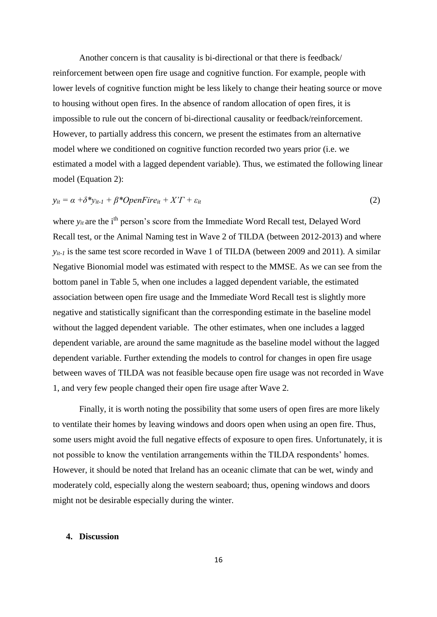Another concern is that causality is bi-directional or that there is feedback/ reinforcement between open fire usage and cognitive function. For example, people with lower levels of cognitive function might be less likely to change their heating source or move to housing without open fires. In the absence of random allocation of open fires, it is impossible to rule out the concern of bi-directional causality or feedback/reinforcement. However, to partially address this concern, we present the estimates from an alternative model where we conditioned on cognitive function recorded two years prior (i.e. we estimated a model with a lagged dependent variable). Thus, we estimated the following linear model (Equation 2):

$$
y_{it} = \alpha + \delta^* y_{it-1} + \beta^* OpenFire_{it} + X'T + \varepsilon_{it}
$$
\n
$$
(2)
$$

where  $y_{it}$  are the i<sup>th</sup> person's score from the Immediate Word Recall test, Delayed Word Recall test, or the Animal Naming test in Wave 2 of TILDA (between 2012-2013) and where *y*<sub>*it-1*</sub> is the same test score recorded in Wave 1 of TILDA (between 2009 and 2011). A similar Negative Bionomial model was estimated with respect to the MMSE. As we can see from the bottom panel in Table 5, when one includes a lagged dependent variable, the estimated association between open fire usage and the Immediate Word Recall test is slightly more negative and statistically significant than the corresponding estimate in the baseline model without the lagged dependent variable. The other estimates, when one includes a lagged dependent variable, are around the same magnitude as the baseline model without the lagged dependent variable. Further extending the models to control for changes in open fire usage between waves of TILDA was not feasible because open fire usage was not recorded in Wave 1, and very few people changed their open fire usage after Wave 2.

Finally, it is worth noting the possibility that some users of open fires are more likely to ventilate their homes by leaving windows and doors open when using an open fire. Thus, some users might avoid the full negative effects of exposure to open fires. Unfortunately, it is not possible to know the ventilation arrangements within the TILDA respondents' homes. However, it should be noted that Ireland has an oceanic climate that can be wet, windy and moderately cold, especially along the western seaboard; thus, opening windows and doors might not be desirable especially during the winter.

#### **4. Discussion**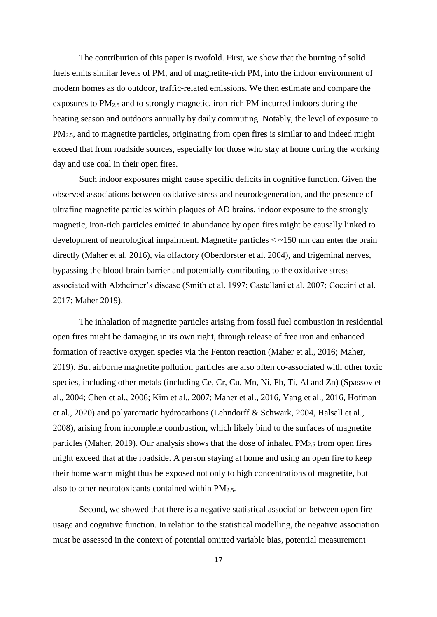The contribution of this paper is twofold. First, we show that the burning of solid fuels emits similar levels of PM, and of magnetite-rich PM, into the indoor environment of modern homes as do outdoor, traffic-related emissions. We then estimate and compare the exposures to PM2.5 and to strongly magnetic, iron-rich PM incurred indoors during the heating season and outdoors annually by daily commuting. Notably, the level of exposure to PM<sub>2.5</sub>, and to magnetite particles, originating from open fires is similar to and indeed might exceed that from roadside sources, especially for those who stay at home during the working day and use coal in their open fires.

Such indoor exposures might cause specific deficits in cognitive function. Given the observed associations between oxidative stress and neurodegeneration, and the presence of ultrafine magnetite particles within plaques of AD brains, indoor exposure to the strongly magnetic, iron-rich particles emitted in abundance by open fires might be causally linked to development of neurological impairment. Magnetite particles < ~150 nm can enter the brain directly (Maher et al. 2016), via olfactory (Oberdorster et al. 2004), and trigeminal nerves, bypassing the blood-brain barrier and potentially contributing to the oxidative stress associated with Alzheimer's disease (Smith et al. 1997; Castellani et al. 2007; Coccini et al. 2017; Maher 2019).

The inhalation of magnetite particles arising from fossil fuel combustion in residential open fires might be damaging in its own right, through release of free iron and enhanced formation of reactive oxygen species via the Fenton reaction (Maher et al., 2016; Maher, 2019). But airborne magnetite pollution particles are also often co-associated with other toxic species, including other metals (including Ce, Cr, Cu, Mn, Ni, Pb, Ti, Al and Zn) (Spassov et al., 2004; Chen et al., 2006; Kim et al., 2007; Maher et al., 2016, Yang et al., 2016, Hofman et al., 2020) and polyaromatic hydrocarbons (Lehndorff & Schwark, 2004, Halsall et al., 2008), arising from incomplete combustion, which likely bind to the surfaces of magnetite particles (Maher, 2019). Our analysis shows that the dose of inhaled  $PM_{2.5}$  from open fires might exceed that at the roadside. A person staying at home and using an open fire to keep their home warm might thus be exposed not only to high concentrations of magnetite, but also to other neurotoxicants contained within  $PM_{2.5}$ .

Second, we showed that there is a negative statistical association between open fire usage and cognitive function. In relation to the statistical modelling, the negative association must be assessed in the context of potential omitted variable bias, potential measurement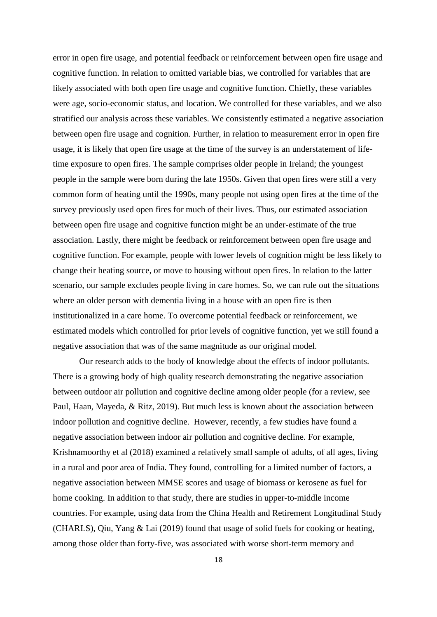error in open fire usage, and potential feedback or reinforcement between open fire usage and cognitive function. In relation to omitted variable bias, we controlled for variables that are likely associated with both open fire usage and cognitive function. Chiefly, these variables were age, socio-economic status, and location. We controlled for these variables, and we also stratified our analysis across these variables. We consistently estimated a negative association between open fire usage and cognition. Further, in relation to measurement error in open fire usage, it is likely that open fire usage at the time of the survey is an understatement of lifetime exposure to open fires. The sample comprises older people in Ireland; the youngest people in the sample were born during the late 1950s. Given that open fires were still a very common form of heating until the 1990s, many people not using open fires at the time of the survey previously used open fires for much of their lives. Thus, our estimated association between open fire usage and cognitive function might be an under-estimate of the true association. Lastly, there might be feedback or reinforcement between open fire usage and cognitive function. For example, people with lower levels of cognition might be less likely to change their heating source, or move to housing without open fires. In relation to the latter scenario, our sample excludes people living in care homes. So, we can rule out the situations where an older person with dementia living in a house with an open fire is then institutionalized in a care home. To overcome potential feedback or reinforcement, we estimated models which controlled for prior levels of cognitive function, yet we still found a negative association that was of the same magnitude as our original model.

Our research adds to the body of knowledge about the effects of indoor pollutants. There is a growing body of high quality research demonstrating the negative association between outdoor air pollution and cognitive decline among older people (for a review, see Paul, Haan, Mayeda, & Ritz, 2019). But much less is known about the association between indoor pollution and cognitive decline. However, recently, a few studies have found a negative association between indoor air pollution and cognitive decline. For example, Krishnamoorthy et al (2018) examined a relatively small sample of adults, of all ages, living in a rural and poor area of India. They found, controlling for a limited number of factors, a negative association between MMSE scores and usage of biomass or kerosene as fuel for home cooking. In addition to that study, there are studies in upper-to-middle income countries. For example, using data from the China Health and Retirement Longitudinal Study (CHARLS), Qiu, Yang & Lai (2019) found that usage of solid fuels for cooking or heating, among those older than forty-five, was associated with worse short-term memory and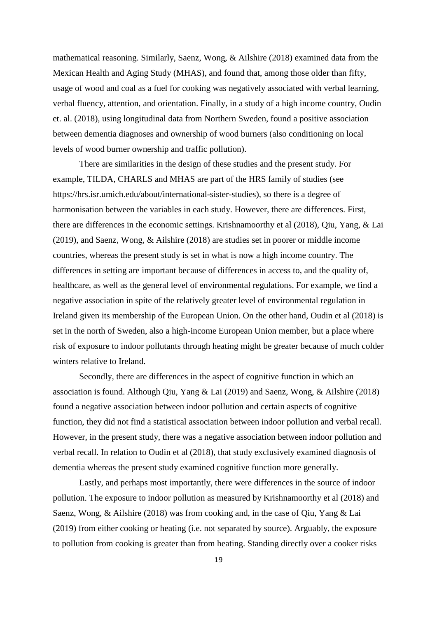mathematical reasoning. Similarly, Saenz, Wong, & Ailshire (2018) examined data from the Mexican Health and Aging Study (MHAS), and found that, among those older than fifty, usage of wood and coal as a fuel for cooking was negatively associated with verbal learning, verbal fluency, attention, and orientation. Finally, in a study of a high income country, Oudin et. al. (2018), using longitudinal data from Northern Sweden, found a positive association between dementia diagnoses and ownership of wood burners (also conditioning on local levels of wood burner ownership and traffic pollution).

There are similarities in the design of these studies and the present study. For example, TILDA, CHARLS and MHAS are part of the HRS family of studies (see https://hrs.isr.umich.edu/about/international-sister-studies), so there is a degree of harmonisation between the variables in each study. However, there are differences. First, there are differences in the economic settings. Krishnamoorthy et al (2018), Qiu, Yang, & Lai (2019), and Saenz, Wong, & Ailshire (2018) are studies set in poorer or middle income countries, whereas the present study is set in what is now a high income country. The differences in setting are important because of differences in access to, and the quality of, healthcare, as well as the general level of environmental regulations. For example, we find a negative association in spite of the relatively greater level of environmental regulation in Ireland given its membership of the European Union. On the other hand, Oudin et al (2018) is set in the north of Sweden, also a high-income European Union member, but a place where risk of exposure to indoor pollutants through heating might be greater because of much colder winters relative to Ireland.

Secondly, there are differences in the aspect of cognitive function in which an association is found. Although Qiu, Yang & Lai (2019) and Saenz, Wong, & Ailshire (2018) found a negative association between indoor pollution and certain aspects of cognitive function, they did not find a statistical association between indoor pollution and verbal recall. However, in the present study, there was a negative association between indoor pollution and verbal recall. In relation to Oudin et al (2018), that study exclusively examined diagnosis of dementia whereas the present study examined cognitive function more generally.

Lastly, and perhaps most importantly, there were differences in the source of indoor pollution. The exposure to indoor pollution as measured by Krishnamoorthy et al (2018) and Saenz, Wong, & Ailshire (2018) was from cooking and, in the case of Qiu, Yang & Lai (2019) from either cooking or heating (i.e. not separated by source). Arguably, the exposure to pollution from cooking is greater than from heating. Standing directly over a cooker risks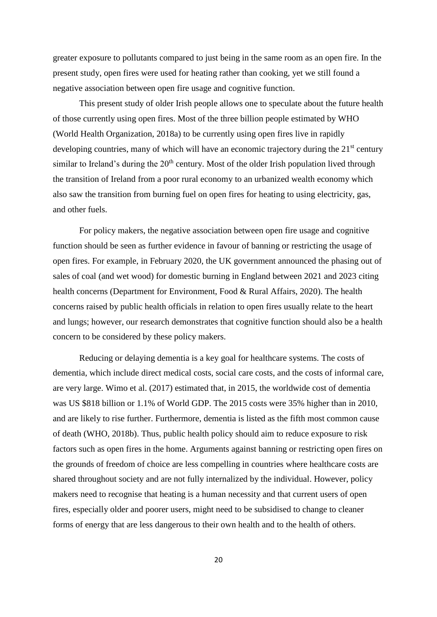greater exposure to pollutants compared to just being in the same room as an open fire. In the present study, open fires were used for heating rather than cooking, yet we still found a negative association between open fire usage and cognitive function.

This present study of older Irish people allows one to speculate about the future health of those currently using open fires. Most of the three billion people estimated by WHO (World Health Organization, 2018a) to be currently using open fires live in rapidly developing countries, many of which will have an economic trajectory during the  $21<sup>st</sup>$  century similar to Ireland's during the  $20<sup>th</sup>$  century. Most of the older Irish population lived through the transition of Ireland from a poor rural economy to an urbanized wealth economy which also saw the transition from burning fuel on open fires for heating to using electricity, gas, and other fuels.

For policy makers, the negative association between open fire usage and cognitive function should be seen as further evidence in favour of banning or restricting the usage of open fires. For example, in February 2020, the UK government announced the phasing out of sales of coal (and wet wood) for domestic burning in England between 2021 and 2023 citing health concerns (Department for Environment, Food & Rural Affairs, 2020). The health concerns raised by public health officials in relation to open fires usually relate to the heart and lungs; however, our research demonstrates that cognitive function should also be a health concern to be considered by these policy makers.

Reducing or delaying dementia is a key goal for healthcare systems. The costs of dementia, which include direct medical costs, social care costs, and the costs of informal care, are very large. Wimo et al. (2017) estimated that, in 2015, the worldwide cost of dementia was US \$818 billion or 1.1% of World GDP. The 2015 costs were 35% higher than in 2010, and are likely to rise further. Furthermore, dementia is listed as the fifth most common cause of death (WHO, 2018b). Thus, public health policy should aim to reduce exposure to risk factors such as open fires in the home. Arguments against banning or restricting open fires on the grounds of freedom of choice are less compelling in countries where healthcare costs are shared throughout society and are not fully internalized by the individual. However, policy makers need to recognise that heating is a human necessity and that current users of open fires, especially older and poorer users, might need to be subsidised to change to cleaner forms of energy that are less dangerous to their own health and to the health of others.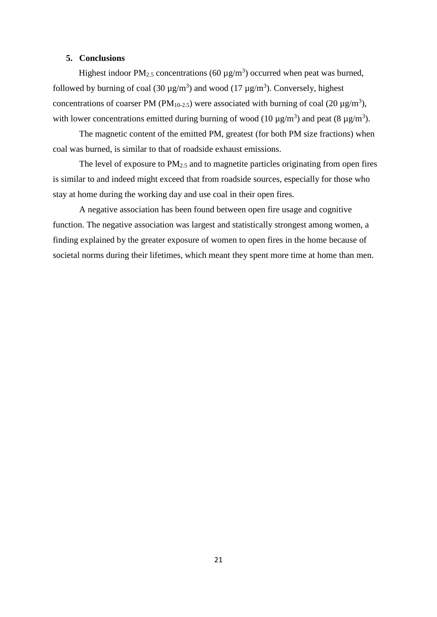# **5. Conclusions**

Highest indoor PM<sub>2.5</sub> concentrations (60  $\mu$ g/m<sup>3</sup>) occurred when peat was burned, followed by burning of coal (30  $\mu$ g/m<sup>3</sup>) and wood (17  $\mu$ g/m<sup>3</sup>). Conversely, highest concentrations of coarser PM (PM<sub>10-2.5</sub>) were associated with burning of coal (20  $\mu$ g/m<sup>3</sup>), with lower concentrations emitted during burning of wood (10  $\mu$ g/m<sup>3</sup>) and peat (8  $\mu$ g/m<sup>3</sup>).

The magnetic content of the emitted PM, greatest (for both PM size fractions) when coal was burned, is similar to that of roadside exhaust emissions.

The level of exposure to PM2.5 and to magnetite particles originating from open fires is similar to and indeed might exceed that from roadside sources, especially for those who stay at home during the working day and use coal in their open fires.

A negative association has been found between open fire usage and cognitive function. The negative association was largest and statistically strongest among women, a finding explained by the greater exposure of women to open fires in the home because of societal norms during their lifetimes, which meant they spent more time at home than men.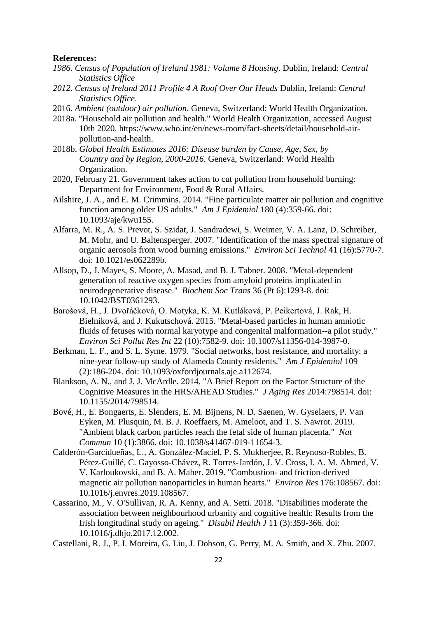#### **References:**

- *1986*. *Census of Population of Ireland 1981: Volume 8 Housing*. Dublin, Ireland: *Central Statistics Office*
- *2012*. *Census of Ireland 2011 Profile 4 A Roof Over Our Heads* Dublin, Ireland: *Central Statistics Office*.
- 2016. *Ambient (outdoor) air pollution*. Geneva, Switzerland: World Health Organization.
- 2018a. "Household air pollution and health." World Health Organization, accessed August 10th 2020. https://www.who.int/en/news-room/fact-sheets/detail/household-airpollution-and-health.
- 2018b. *Global Health Estimates 2016: Disease burden by Cause, Age, Sex, by Country and by Region, 2000-2016*. Geneva, Switzerland: World Health Organization.
- 2020, February 21. Government takes action to cut pollution from household burning: Department for Environment, Food & Rural Affairs.
- Ailshire, J. A., and E. M. Crimmins. 2014. "Fine particulate matter air pollution and cognitive function among older US adults." *Am J Epidemiol* 180 (4):359-66. doi: 10.1093/aje/kwu155.
- Alfarra, M. R., A. S. Prevot, S. Szidat, J. Sandradewi, S. Weimer, V. A. Lanz, D. Schreiber, M. Mohr, and U. Baltensperger. 2007. "Identification of the mass spectral signature of organic aerosols from wood burning emissions." *Environ Sci Technol* 41 (16):5770-7. doi: 10.1021/es062289b.
- Allsop, D., J. Mayes, S. Moore, A. Masad, and B. J. Tabner. 2008. "Metal-dependent generation of reactive oxygen species from amyloid proteins implicated in neurodegenerative disease." *Biochem Soc Trans* 36 (Pt 6):1293-8. doi: 10.1042/BST0361293.
- Barošová, H., J. Dvořáčková, O. Motyka, K. M. Kutláková, P. Peikertová, J. Rak, H. Bielniková, and J. Kukutschová. 2015. "Metal-based particles in human amniotic fluids of fetuses with normal karyotype and congenital malformation--a pilot study." *Environ Sci Pollut Res Int* 22 (10):7582-9. doi: 10.1007/s11356-014-3987-0.
- Berkman, L. F., and S. L. Syme. 1979. "Social networks, host resistance, and mortality: a nine-year follow-up study of Alameda County residents." *Am J Epidemiol* 109 (2):186-204. doi: 10.1093/oxfordjournals.aje.a112674.
- Blankson, A. N., and J. J. McArdle. 2014. "A Brief Report on the Factor Structure of the Cognitive Measures in the HRS/AHEAD Studies." *J Aging Res* 2014:798514. doi: 10.1155/2014/798514.
- Bové, H., E. Bongaerts, E. Slenders, E. M. Bijnens, N. D. Saenen, W. Gyselaers, P. Van Eyken, M. Plusquin, M. B. J. Roeffaers, M. Ameloot, and T. S. Nawrot. 2019. "Ambient black carbon particles reach the fetal side of human placenta." *Nat Commun* 10 (1):3866. doi: 10.1038/s41467-019-11654-3.
- Calderón-Garcidueñas, L., A. González-Maciel, P. S. Mukherjee, R. Reynoso-Robles, B. Pérez-Guillé, C. Gayosso-Chávez, R. Torres-Jardón, J. V. Cross, I. A. M. Ahmed, V. V. Karloukovski, and B. A. Maher. 2019. "Combustion- and friction-derived magnetic air pollution nanoparticles in human hearts." *Environ Res* 176:108567. doi: 10.1016/j.envres.2019.108567.
- Cassarino, M., V. O'Sullivan, R. A. Kenny, and A. Setti. 2018. "Disabilities moderate the association between neighbourhood urbanity and cognitive health: Results from the Irish longitudinal study on ageing." *Disabil Health J* 11 (3):359-366. doi: 10.1016/j.dhjo.2017.12.002.
- Castellani, R. J., P. I. Moreira, G. Liu, J. Dobson, G. Perry, M. A. Smith, and X. Zhu. 2007.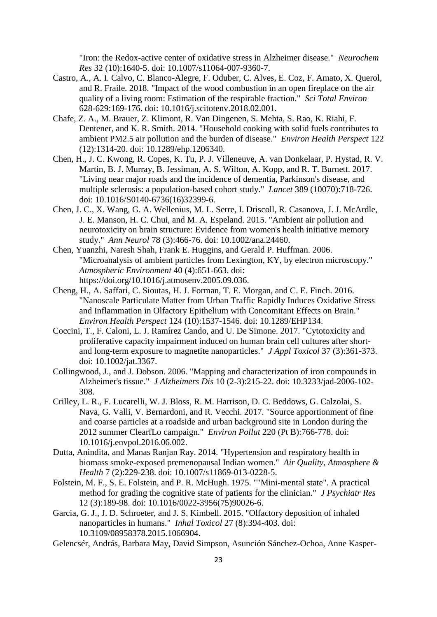"Iron: the Redox-active center of oxidative stress in Alzheimer disease." *Neurochem Res* 32 (10):1640-5. doi: 10.1007/s11064-007-9360-7.

- Castro, A., A. I. Calvo, C. Blanco-Alegre, F. Oduber, C. Alves, E. Coz, F. Amato, X. Querol, and R. Fraile. 2018. "Impact of the wood combustion in an open fireplace on the air quality of a living room: Estimation of the respirable fraction." *Sci Total Environ* 628-629:169-176. doi: 10.1016/j.scitotenv.2018.02.001.
- Chafe, Z. A., M. Brauer, Z. Klimont, R. Van Dingenen, S. Mehta, S. Rao, K. Riahi, F. Dentener, and K. R. Smith. 2014. "Household cooking with solid fuels contributes to ambient PM2.5 air pollution and the burden of disease." *Environ Health Perspect* 122 (12):1314-20. doi: 10.1289/ehp.1206340.
- Chen, H., J. C. Kwong, R. Copes, K. Tu, P. J. Villeneuve, A. van Donkelaar, P. Hystad, R. V. Martin, B. J. Murray, B. Jessiman, A. S. Wilton, A. Kopp, and R. T. Burnett. 2017. "Living near major roads and the incidence of dementia, Parkinson's disease, and multiple sclerosis: a population-based cohort study." *Lancet* 389 (10070):718-726. doi: 10.1016/S0140-6736(16)32399-6.
- Chen, J. C., X. Wang, G. A. Wellenius, M. L. Serre, I. Driscoll, R. Casanova, J. J. McArdle, J. E. Manson, H. C. Chui, and M. A. Espeland. 2015. "Ambient air pollution and neurotoxicity on brain structure: Evidence from women's health initiative memory study." *Ann Neurol* 78 (3):466-76. doi: 10.1002/ana.24460.
- Chen, Yuanzhi, Naresh Shah, Frank E. Huggins, and Gerald P. Huffman. 2006. "Microanalysis of ambient particles from Lexington, KY, by electron microscopy." *Atmospheric Environment* 40 (4):651-663. doi: https://doi.org/10.1016/j.atmosenv.2005.09.036.
- Cheng, H., A. Saffari, C. Sioutas, H. J. Forman, T. E. Morgan, and C. E. Finch. 2016. "Nanoscale Particulate Matter from Urban Traffic Rapidly Induces Oxidative Stress and Inflammation in Olfactory Epithelium with Concomitant Effects on Brain." *Environ Health Perspect* 124 (10):1537-1546. doi: 10.1289/EHP134.
- Coccini, T., F. Caloni, L. J. Ramírez Cando, and U. De Simone. 2017. "Cytotoxicity and proliferative capacity impairment induced on human brain cell cultures after shortand long-term exposure to magnetite nanoparticles." *J Appl Toxicol* 37 (3):361-373. doi: 10.1002/jat.3367.
- Collingwood, J., and J. Dobson. 2006. "Mapping and characterization of iron compounds in Alzheimer's tissue." *J Alzheimers Dis* 10 (2-3):215-22. doi: 10.3233/jad-2006-102- 308.
- Crilley, L. R., F. Lucarelli, W. J. Bloss, R. M. Harrison, D. C. Beddows, G. Calzolai, S. Nava, G. Valli, V. Bernardoni, and R. Vecchi. 2017. "Source apportionment of fine and coarse particles at a roadside and urban background site in London during the 2012 summer ClearfLo campaign." *Environ Pollut* 220 (Pt B):766-778. doi: 10.1016/j.envpol.2016.06.002.
- Dutta, Anindita, and Manas Ranjan Ray. 2014. "Hypertension and respiratory health in biomass smoke-exposed premenopausal Indian women." *Air Quality, Atmosphere & Health* 7 (2):229-238. doi: 10.1007/s11869-013-0228-5.
- Folstein, M. F., S. E. Folstein, and P. R. McHugh. 1975. ""Mini-mental state". A practical method for grading the cognitive state of patients for the clinician." *J Psychiatr Res* 12 (3):189-98. doi: 10.1016/0022-3956(75)90026-6.
- Garcia, G. J., J. D. Schroeter, and J. S. Kimbell. 2015. "Olfactory deposition of inhaled nanoparticles in humans." *Inhal Toxicol* 27 (8):394-403. doi: 10.3109/08958378.2015.1066904.
- Gelencsér, András, Barbara May, David Simpson, Asunción Sánchez-Ochoa, Anne Kasper-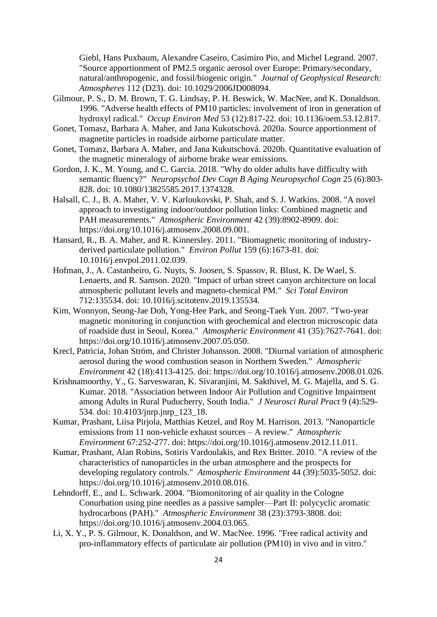Giebl, Hans Puxbaum, Alexandre Caseiro, Casimiro Pio, and Michel Legrand. 2007. "Source apportionment of PM2.5 organic aerosol over Europe: Primary/secondary, natural/anthropogenic, and fossil/biogenic origin." *Journal of Geophysical Research: Atmospheres* 112 (D23). doi: 10.1029/2006JD008094.

- Gilmour, P. S., D. M. Brown, T. G. Lindsay, P. H. Beswick, W. MacNee, and K. Donaldson. 1996. "Adverse health effects of PM10 particles: involvement of iron in generation of hydroxyl radical." *Occup Environ Med* 53 (12):817-22. doi: 10.1136/oem.53.12.817.
- Gonet, Tomasz, Barbara A. Maher, and Jana Kukutschová. 2020a. Source apportionment of magnetite particles in roadside airborne particulate matter.
- Gonet, Tomasz, Barbara A. Maher, and Jana Kukutschová. 2020b. Quantitative evaluation of the magnetic mineralogy of airborne brake wear emissions.
- Gordon, J. K., M. Young, and C. Garcia. 2018. "Why do older adults have difficulty with semantic fluency?" *Neuropsychol Dev Cogn B Aging Neuropsychol Cogn* 25 (6):803- 828. doi: 10.1080/13825585.2017.1374328.
- Halsall, C. J., B. A. Maher, V. V. Karloukovski, P. Shah, and S. J. Watkins. 2008. "A novel approach to investigating indoor/outdoor pollution links: Combined magnetic and PAH measurements." *Atmospheric Environment* 42 (39):8902-8909. doi: https://doi.org/10.1016/j.atmosenv.2008.09.001.
- Hansard, R., B. A. Maher, and R. Kinnersley. 2011. "Biomagnetic monitoring of industryderived particulate pollution." *Environ Pollut* 159 (6):1673-81. doi: 10.1016/j.envpol.2011.02.039.
- Hofman, J., A. Castanheiro, G. Nuyts, S. Joosen, S. Spassov, R. Blust, K. De Wael, S. Lenaerts, and R. Samson. 2020. "Impact of urban street canyon architecture on local atmospheric pollutant levels and magneto-chemical PM." *Sci Total Environ* 712:135534. doi: 10.1016/j.scitotenv.2019.135534.
- Kim, Wonnyon, Seong-Jae Doh, Yong-Hee Park, and Seong-Taek Yun. 2007. "Two-year magnetic monitoring in conjunction with geochemical and electron microscopic data of roadside dust in Seoul, Korea." *Atmospheric Environment* 41 (35):7627-7641. doi: https://doi.org/10.1016/j.atmosenv.2007.05.050.
- Krecl, Patricia, Johan Ström, and Christer Johansson. 2008. "Diurnal variation of atmospheric aerosol during the wood combustion season in Northern Sweden." *Atmospheric Environment* 42 (18):4113-4125. doi: https://doi.org/10.1016/j.atmosenv.2008.01.026.
- Krishnamoorthy, Y., G. Sarveswaran, K. Sivaranjini, M. Sakthivel, M. G. Majella, and S. G. Kumar. 2018. "Association between Indoor Air Pollution and Cognitive Impairment among Adults in Rural Puducherry, South India." *J Neurosci Rural Pract* 9 (4):529- 534. doi: 10.4103/jnrp.jnrp\_123\_18.
- Kumar, Prashant, Liisa Pirjola, Matthias Ketzel, and Roy M. Harrison. 2013. "Nanoparticle emissions from 11 non-vehicle exhaust sources – A review." *Atmospheric Environment* 67:252-277. doi: https://doi.org/10.1016/j.atmosenv.2012.11.011.
- Kumar, Prashant, Alan Robins, Sotiris Vardoulakis, and Rex Britter. 2010. "A review of the characteristics of nanoparticles in the urban atmosphere and the prospects for developing regulatory controls." *Atmospheric Environment* 44 (39):5035-5052. doi: https://doi.org/10.1016/j.atmosenv.2010.08.016.
- Lehndorff, E., and L. Schwark. 2004. "Biomonitoring of air quality in the Cologne Conurbation using pine needles as a passive sampler—Part II: polycyclic aromatic hydrocarbons (PAH)." *Atmospheric Environment* 38 (23):3793-3808. doi: https://doi.org/10.1016/j.atmosenv.2004.03.065.
- Li, X. Y., P. S. Gilmour, K. Donaldson, and W. MacNee. 1996. "Free radical activity and pro-inflammatory effects of particulate air pollution (PM10) in vivo and in vitro."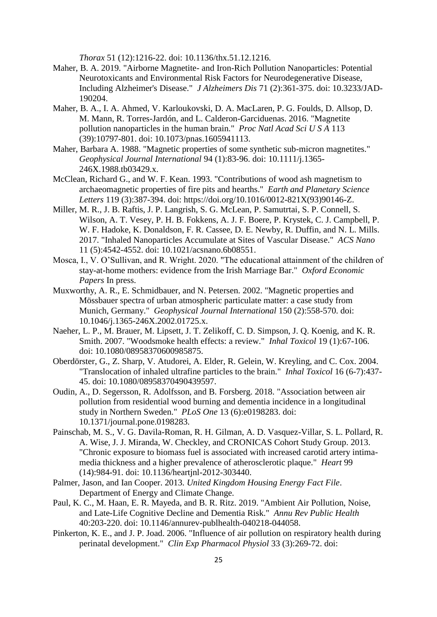*Thorax* 51 (12):1216-22. doi: 10.1136/thx.51.12.1216.

- Maher, B. A. 2019. "Airborne Magnetite- and Iron-Rich Pollution Nanoparticles: Potential Neurotoxicants and Environmental Risk Factors for Neurodegenerative Disease, Including Alzheimer's Disease." *J Alzheimers Dis* 71 (2):361-375. doi: 10.3233/JAD-190204.
- Maher, B. A., I. A. Ahmed, V. Karloukovski, D. A. MacLaren, P. G. Foulds, D. Allsop, D. M. Mann, R. Torres-Jardón, and L. Calderon-Garciduenas. 2016. "Magnetite pollution nanoparticles in the human brain." *Proc Natl Acad Sci U S A* 113 (39):10797-801. doi: 10.1073/pnas.1605941113.
- Maher, Barbara A. 1988. "Magnetic properties of some synthetic sub-micron magnetites." *Geophysical Journal International* 94 (1):83-96. doi: 10.1111/j.1365- 246X.1988.tb03429.x.
- McClean, Richard G., and W. F. Kean. 1993. "Contributions of wood ash magnetism to archaeomagnetic properties of fire pits and hearths." *Earth and Planetary Science Letters* 119 (3):387-394. doi: https://doi.org/10.1016/0012-821X(93)90146-Z.
- Miller, M. R., J. B. Raftis, J. P. Langrish, S. G. McLean, P. Samutrtai, S. P. Connell, S. Wilson, A. T. Vesey, P. H. B. Fokkens, A. J. F. Boere, P. Krystek, C. J. Campbell, P. W. F. Hadoke, K. Donaldson, F. R. Cassee, D. E. Newby, R. Duffin, and N. L. Mills. 2017. "Inhaled Nanoparticles Accumulate at Sites of Vascular Disease." *ACS Nano* 11 (5):4542-4552. doi: 10.1021/acsnano.6b08551.
- Mosca, I., V. O'Sullivan, and R. Wright. 2020. "The educational attainment of the children of stay-at-home mothers: evidence from the Irish Marriage Bar." *Oxford Economic Papers* In press.
- Muxworthy, A. R., E. Schmidbauer, and N. Petersen. 2002. "Magnetic properties and Mössbauer spectra of urban atmospheric particulate matter: a case study from Munich, Germany." *Geophysical Journal International* 150 (2):558-570. doi: 10.1046/j.1365-246X.2002.01725.x.
- Naeher, L. P., M. Brauer, M. Lipsett, J. T. Zelikoff, C. D. Simpson, J. Q. Koenig, and K. R. Smith. 2007. "Woodsmoke health effects: a review." *Inhal Toxicol* 19 (1):67-106. doi: 10.1080/08958370600985875.
- Oberdörster, G., Z. Sharp, V. Atudorei, A. Elder, R. Gelein, W. Kreyling, and C. Cox. 2004. "Translocation of inhaled ultrafine particles to the brain." *Inhal Toxicol* 16 (6-7):437- 45. doi: 10.1080/08958370490439597.
- Oudin, A., D. Segersson, R. Adolfsson, and B. Forsberg. 2018. "Association between air pollution from residential wood burning and dementia incidence in a longitudinal study in Northern Sweden." *PLoS One* 13 (6):e0198283. doi: 10.1371/journal.pone.0198283.
- Painschab, M. S., V. G. Davila-Roman, R. H. Gilman, A. D. Vasquez-Villar, S. L. Pollard, R. A. Wise, J. J. Miranda, W. Checkley, and CRONICAS Cohort Study Group. 2013. "Chronic exposure to biomass fuel is associated with increased carotid artery intimamedia thickness and a higher prevalence of atherosclerotic plaque." *Heart* 99 (14):984-91. doi: 10.1136/heartjnl-2012-303440.
- Palmer, Jason, and Ian Cooper. 2013. *United Kingdom Housing Energy Fact File*. Department of Energy and Climate Change.
- Paul, K. C., M. Haan, E. R. Mayeda, and B. R. Ritz. 2019. "Ambient Air Pollution, Noise, and Late-Life Cognitive Decline and Dementia Risk." *Annu Rev Public Health* 40:203-220. doi: 10.1146/annurev-publhealth-040218-044058.
- Pinkerton, K. E., and J. P. Joad. 2006. "Influence of air pollution on respiratory health during perinatal development." *Clin Exp Pharmacol Physiol* 33 (3):269-72. doi: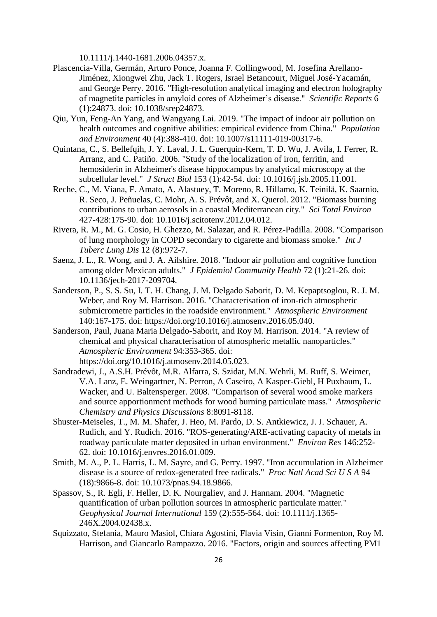10.1111/j.1440-1681.2006.04357.x.

- Plascencia-Villa, Germán, Arturo Ponce, Joanna F. Collingwood, M. Josefina Arellano-Jiménez, Xiongwei Zhu, Jack T. Rogers, Israel Betancourt, Miguel José-Yacamán, and George Perry. 2016. "High-resolution analytical imaging and electron holography of magnetite particles in amyloid cores of Alzheimer's disease." *Scientific Reports* 6 (1):24873. doi: 10.1038/srep24873.
- Qiu, Yun, Feng-An Yang, and Wangyang Lai. 2019. "The impact of indoor air pollution on health outcomes and cognitive abilities: empirical evidence from China." *Population and Environment* 40 (4):388-410. doi: 10.1007/s11111-019-00317-6.
- Quintana, C., S. Bellefqih, J. Y. Laval, J. L. Guerquin-Kern, T. D. Wu, J. Avila, I. Ferrer, R. Arranz, and C. Patiño. 2006. "Study of the localization of iron, ferritin, and hemosiderin in Alzheimer's disease hippocampus by analytical microscopy at the subcellular level." *J Struct Biol* 153 (1):42-54. doi: 10.1016/j.jsb.2005.11.001.
- Reche, C., M. Viana, F. Amato, A. Alastuey, T. Moreno, R. Hillamo, K. Teinilä, K. Saarnio, R. Seco, J. Peñuelas, C. Mohr, A. S. Prévôt, and X. Querol. 2012. "Biomass burning contributions to urban aerosols in a coastal Mediterranean city." *Sci Total Environ* 427-428:175-90. doi: 10.1016/j.scitotenv.2012.04.012.
- Rivera, R. M., M. G. Cosio, H. Ghezzo, M. Salazar, and R. Pérez-Padilla. 2008. "Comparison of lung morphology in COPD secondary to cigarette and biomass smoke." *Int J Tuberc Lung Dis* 12 (8):972-7.
- Saenz, J. L., R. Wong, and J. A. Ailshire. 2018. "Indoor air pollution and cognitive function among older Mexican adults." *J Epidemiol Community Health* 72 (1):21-26. doi: 10.1136/jech-2017-209704.
- Sanderson, P., S. S. Su, I. T. H. Chang, J. M. Delgado Saborit, D. M. Kepaptsoglou, R. J. M. Weber, and Roy M. Harrison. 2016. "Characterisation of iron-rich atmospheric submicrometre particles in the roadside environment." *Atmospheric Environment* 140:167-175. doi: https://doi.org/10.1016/j.atmosenv.2016.05.040.
- Sanderson, Paul, Juana Maria Delgado-Saborit, and Roy M. Harrison. 2014. "A review of chemical and physical characterisation of atmospheric metallic nanoparticles." *Atmospheric Environment* 94:353-365. doi: https://doi.org/10.1016/j.atmosenv.2014.05.023.
- Sandradewi, J., A.S.H. Prévôt, M.R. Alfarra, S. Szidat, M.N. Wehrli, M. Ruff, S. Weimer, V.A. Lanz, E. Weingartner, N. Perron, A Caseiro, A Kasper-Giebl, H Puxbaum, L. Wacker, and U. Baltensperger. 2008. "Comparison of several wood smoke markers and source apportionment methods for wood burning particulate mass." *Atmospheric Chemistry and Physics Discussions* 8:8091-8118.
- Shuster-Meiseles, T., M. M. Shafer, J. Heo, M. Pardo, D. S. Antkiewicz, J. J. Schauer, A. Rudich, and Y. Rudich. 2016. "ROS-generating/ARE-activating capacity of metals in roadway particulate matter deposited in urban environment." *Environ Res* 146:252- 62. doi: 10.1016/j.envres.2016.01.009.
- Smith, M. A., P. L. Harris, L. M. Sayre, and G. Perry. 1997. "Iron accumulation in Alzheimer disease is a source of redox-generated free radicals." *Proc Natl Acad Sci U S A* 94 (18):9866-8. doi: 10.1073/pnas.94.18.9866.
- Spassov, S., R. Egli, F. Heller, D. K. Nourgaliev, and J. Hannam. 2004. "Magnetic quantification of urban pollution sources in atmospheric particulate matter." *Geophysical Journal International* 159 (2):555-564. doi: 10.1111/j.1365- 246X.2004.02438.x.
- Squizzato, Stefania, Mauro Masiol, Chiara Agostini, Flavia Visin, Gianni Formenton, Roy M. Harrison, and Giancarlo Rampazzo. 2016. "Factors, origin and sources affecting PM1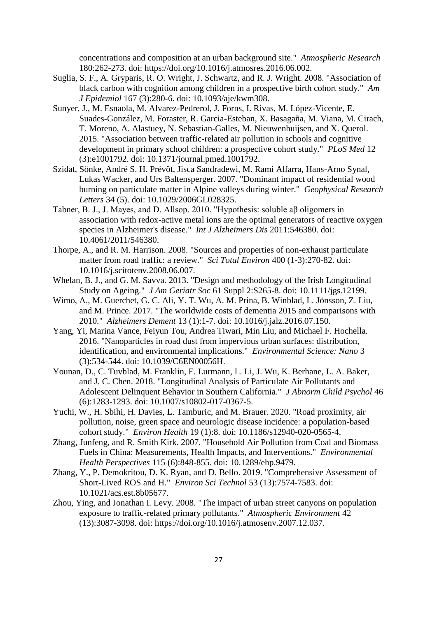concentrations and composition at an urban background site." *Atmospheric Research* 180:262-273. doi: https://doi.org/10.1016/j.atmosres.2016.06.002.

- Suglia, S. F., A. Gryparis, R. O. Wright, J. Schwartz, and R. J. Wright. 2008. "Association of black carbon with cognition among children in a prospective birth cohort study." *Am J Epidemiol* 167 (3):280-6. doi: 10.1093/aje/kwm308.
- Sunyer, J., M. Esnaola, M. Alvarez-Pedrerol, J. Forns, I. Rivas, M. López-Vicente, E. Suades-González, M. Foraster, R. Garcia-Esteban, X. Basagaña, M. Viana, M. Cirach, T. Moreno, A. Alastuey, N. Sebastian-Galles, M. Nieuwenhuijsen, and X. Querol. 2015. "Association between traffic-related air pollution in schools and cognitive development in primary school children: a prospective cohort study." *PLoS Med* 12 (3):e1001792. doi: 10.1371/journal.pmed.1001792.
- Szidat, Sönke, André S. H. Prévôt, Jisca Sandradewi, M. Rami Alfarra, Hans-Arno Synal, Lukas Wacker, and Urs Baltensperger. 2007. "Dominant impact of residential wood burning on particulate matter in Alpine valleys during winter." *Geophysical Research Letters* 34 (5). doi: 10.1029/2006GL028325.
- Tabner, B. J., J. Mayes, and D. Allsop. 2010. "Hypothesis: soluble aβ oligomers in association with redox-active metal ions are the optimal generators of reactive oxygen species in Alzheimer's disease." *Int J Alzheimers Dis* 2011:546380. doi: 10.4061/2011/546380.
- Thorpe, A., and R. M. Harrison. 2008. "Sources and properties of non-exhaust particulate matter from road traffic: a review." *Sci Total Environ* 400 (1-3):270-82. doi: 10.1016/j.scitotenv.2008.06.007.
- Whelan, B. J., and G. M. Savva. 2013. "Design and methodology of the Irish Longitudinal Study on Ageing." *J Am Geriatr Soc* 61 Suppl 2:S265-8. doi: 10.1111/jgs.12199.
- Wimo, A., M. Guerchet, G. C. Ali, Y. T. Wu, A. M. Prina, B. Winblad, L. Jönsson, Z. Liu, and M. Prince. 2017. "The worldwide costs of dementia 2015 and comparisons with 2010." *Alzheimers Dement* 13 (1):1-7. doi: 10.1016/j.jalz.2016.07.150.
- Yang, Yi, Marina Vance, Feiyun Tou, Andrea Tiwari, Min Liu, and Michael F. Hochella. 2016. "Nanoparticles in road dust from impervious urban surfaces: distribution, identification, and environmental implications." *Environmental Science: Nano* 3 (3):534-544. doi: 10.1039/C6EN00056H.
- Younan, D., C. Tuvblad, M. Franklin, F. Lurmann, L. Li, J. Wu, K. Berhane, L. A. Baker, and J. C. Chen. 2018. "Longitudinal Analysis of Particulate Air Pollutants and Adolescent Delinquent Behavior in Southern California." *J Abnorm Child Psychol* 46 (6):1283-1293. doi: 10.1007/s10802-017-0367-5.
- Yuchi, W., H. Sbihi, H. Davies, L. Tamburic, and M. Brauer. 2020. "Road proximity, air pollution, noise, green space and neurologic disease incidence: a population-based cohort study." *Environ Health* 19 (1):8. doi: 10.1186/s12940-020-0565-4.
- Zhang, Junfeng, and R. Smith Kirk. 2007. "Household Air Pollution from Coal and Biomass Fuels in China: Measurements, Health Impacts, and Interventions." *Environmental Health Perspectives* 115 (6):848-855. doi: 10.1289/ehp.9479.
- Zhang, Y., P. Demokritou, D. K. Ryan, and D. Bello. 2019. "Comprehensive Assessment of Short-Lived ROS and H." *Environ Sci Technol* 53 (13):7574-7583. doi: 10.1021/acs.est.8b05677.
- Zhou, Ying, and Jonathan I. Levy. 2008. "The impact of urban street canyons on population exposure to traffic-related primary pollutants." *Atmospheric Environment* 42 (13):3087-3098. doi: https://doi.org/10.1016/j.atmosenv.2007.12.037.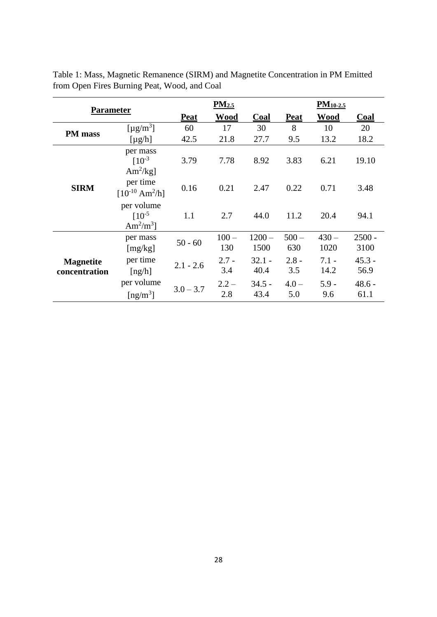| <b>Parameter</b>                  |                                                                |             | PM <sub>2.5</sub> |                  |                | $PM_{10-2.5}$   |                  |  |
|-----------------------------------|----------------------------------------------------------------|-------------|-------------------|------------------|----------------|-----------------|------------------|--|
|                                   |                                                                | <b>Peat</b> | <b>Wood</b>       | Coal             | <b>Peat</b>    | <b>Wood</b>     | <b>Coal</b>      |  |
| PM mass                           | [ $\mu$ g/m <sup>3</sup> ]                                     | 60          | 17                | 30               | 8              | 10              | 20               |  |
|                                   | $[\mu g/h]$                                                    | 42.5        | 21.8              | 27.7             | 9.5            | 13.2            | 18.2             |  |
| <b>SIRM</b>                       | per mass<br>$[10^{-3}]$<br>Am <sup>2</sup> /kg]                | 3.79        | 7.78              | 8.92             | 3.83           | 6.21            | 19.10            |  |
|                                   | per time<br>$[10^{-10} \text{ Am}^2/\text{h}]$                 | 0.16        | 0.21              | 2.47             | 0.22           | 0.71            | 3.48             |  |
|                                   | per volume<br>$[10^{-5}]$<br>Am <sup>2</sup> /m <sup>3</sup> ] | 1.1         | 2.7               | 44.0             | 11.2           | 20.4            | 94.1             |  |
| <b>Magnetite</b><br>concentration | per mass<br>[mg/kg]                                            | $50 - 60$   | $100 -$<br>130    | $1200 -$<br>1500 | $500 -$<br>630 | $430 -$<br>1020 | $2500 -$<br>3100 |  |
|                                   | per time<br>[ng/h]                                             | $2.1 - 2.6$ | $2.7 -$<br>3.4    | $32.1 -$<br>40.4 | $2.8 -$<br>3.5 | $7.1 -$<br>14.2 | $45.3 -$<br>56.9 |  |
|                                   | per volume<br>$\lceil ng/m^3 \rceil$                           | $3.0 - 3.7$ | $2.2 -$<br>2.8    | $34.5 -$<br>43.4 | $4.0 -$<br>5.0 | $5.9 -$<br>9.6  | $48.6 -$<br>61.1 |  |

Table 1: Mass, Magnetic Remanence (SIRM) and Magnetite Concentration in PM Emitted from Open Fires Burning Peat, Wood, and Coal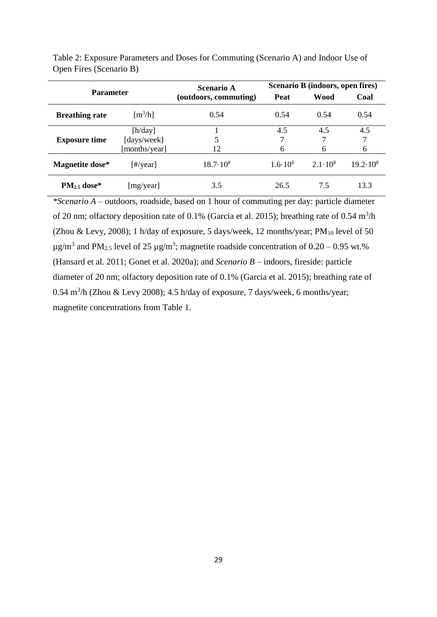| <b>Parameter</b>      |                                         | Scenario A            | Scenario B (indoors, open fires) |                  |                   |  |
|-----------------------|-----------------------------------------|-----------------------|----------------------------------|------------------|-------------------|--|
|                       |                                         | (outdoors, commuting) | <b>Peat</b>                      | Wood             | Coal              |  |
| <b>Breathing rate</b> | $\left[\text{m}^3/\text{h}\right]$      | 0.54                  | 0.54                             | 0.54             | 0.54              |  |
| <b>Exposure time</b>  | [h/day]<br>[days/week]<br>[months/year] | 12                    | 4.5<br>6                         | 4.5<br>6         | 4.5<br>6          |  |
| Magnetite dose*       | [#/year]                                | $18.7 \cdot 10^8$     | $1.6 \cdot 10^8$                 | $2.1 \cdot 10^8$ | $19.2 \cdot 10^8$ |  |
| $PM_{2.5}$ dose*      | [mg/year]                               | 3.5                   | 26.5                             | 7.5              | 13.3              |  |

Table 2: Exposure Parameters and Doses for Commuting (Scenario A) and Indoor Use of Open Fires (Scenario B)

*\*Scenario A* – outdoors, roadside, based on 1 hour of commuting per day: particle diameter of 20 nm; olfactory deposition rate of 0.1% (Garcia et al. 2015); breathing rate of 0.54 m<sup>3</sup>/h (Zhou & Levy, 2008); 1 h/day of exposure, 5 days/week, 12 months/year;  $PM_{10}$  level of 50  $\mu$ g/m<sup>3</sup> and PM<sub>2.5</sub> level of 25  $\mu$ g/m<sup>3</sup>; magnetite roadside concentration of 0.20 – 0.95 wt.% (Hansard et al. 2011; Gonet et al. 2020a); and *Scenario B* – indoors, fireside: particle diameter of 20 nm; olfactory deposition rate of 0.1% (Garcia et al. 2015); breathing rate of  $0.54 \text{ m}^3/\text{h}$  (Zhou & Levy 2008); 4.5 h/day of exposure, 7 days/week, 6 months/year; magnetite concentrations from Table 1.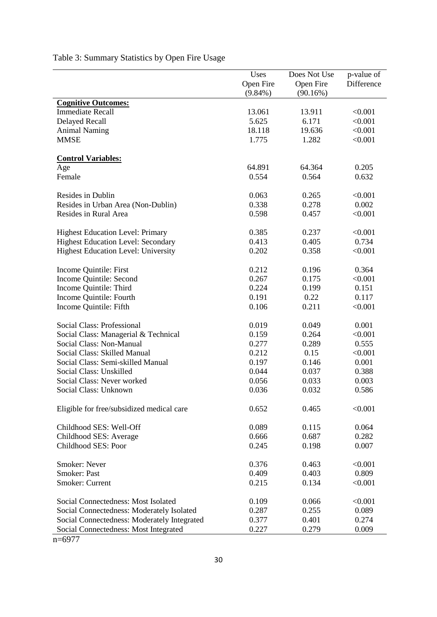|                                             | Uses<br>Open Fire<br>$(9.84\%)$ | Does Not Use<br>Open Fire<br>(90.16%) | p-value of<br>Difference |
|---------------------------------------------|---------------------------------|---------------------------------------|--------------------------|
| <b>Cognitive Outcomes:</b>                  |                                 |                                       |                          |
| <b>Immediate Recall</b>                     | 13.061                          | 13.911                                | < 0.001                  |
| <b>Delayed Recall</b>                       | 5.625                           | 6.171                                 | < 0.001                  |
| <b>Animal Naming</b>                        | 18.118                          | 19.636                                | < 0.001                  |
| <b>MMSE</b>                                 | 1.775                           | 1.282                                 | < 0.001                  |
| <b>Control Variables:</b>                   |                                 |                                       |                          |
| Age                                         | 64.891                          | 64.364                                | 0.205                    |
| Female                                      | 0.554                           | 0.564                                 | 0.632                    |
| Resides in Dublin                           | 0.063                           | 0.265                                 | < 0.001                  |
| Resides in Urban Area (Non-Dublin)          | 0.338                           | 0.278                                 | 0.002                    |
| Resides in Rural Area                       | 0.598                           | 0.457                                 | < 0.001                  |
| <b>Highest Education Level: Primary</b>     | 0.385                           | 0.237                                 | < 0.001                  |
| <b>Highest Education Level: Secondary</b>   | 0.413                           | 0.405                                 | 0.734                    |
| <b>Highest Education Level: University</b>  | 0.202                           | 0.358                                 | < 0.001                  |
| Income Quintile: First                      | 0.212                           | 0.196                                 | 0.364                    |
| Income Quintile: Second                     | 0.267                           | 0.175                                 | < 0.001                  |
| Income Quintile: Third                      | 0.224                           | 0.199                                 | 0.151                    |
| Income Quintile: Fourth                     | 0.191                           | 0.22                                  | 0.117                    |
| Income Quintile: Fifth                      | 0.106                           | 0.211                                 | < 0.001                  |
| Social Class: Professional                  | 0.019                           | 0.049                                 | 0.001                    |
| Social Class: Managerial & Technical        | 0.159                           | 0.264                                 | < 0.001                  |
| Social Class: Non-Manual                    | 0.277                           | 0.289                                 | 0.555                    |
| Social Class: Skilled Manual                | 0.212                           | 0.15                                  | < 0.001                  |
| Social Class: Semi-skilled Manual           | 0.197                           | 0.146                                 | 0.001                    |
| Social Class: Unskilled                     | 0.044                           | 0.037                                 | 0.388                    |
| Social Class: Never worked                  | 0.056                           | 0.033                                 | 0.003                    |
| Social Class: Unknown                       | 0.036                           | 0.032                                 | 0.586                    |
| Eligible for free/subsidized medical care   | 0.652                           | 0.465                                 | < 0.001                  |
| Childhood SES: Well-Off                     | 0.089                           | 0.115                                 | 0.064                    |
| Childhood SES: Average                      | 0.666                           | 0.687                                 | 0.282                    |
| Childhood SES: Poor                         | 0.245                           | 0.198                                 | 0.007                    |
| <b>Smoker: Never</b>                        | 0.376                           | 0.463                                 | < 0.001                  |
| <b>Smoker: Past</b>                         | 0.409                           | 0.403                                 | 0.809                    |
| Smoker: Current                             | 0.215                           | 0.134                                 | < 0.001                  |
| Social Connectedness: Most Isolated         | 0.109                           | 0.066                                 | < 0.001                  |
| Social Connectedness: Moderately Isolated   | 0.287                           | 0.255                                 | 0.089                    |
| Social Connectedness: Moderately Integrated | 0.377                           | 0.401                                 | 0.274                    |
| Social Connectedness: Most Integrated       | 0.227                           | 0.279                                 | 0.009                    |

Table 3: Summary Statistics by Open Fire Usage

n=6977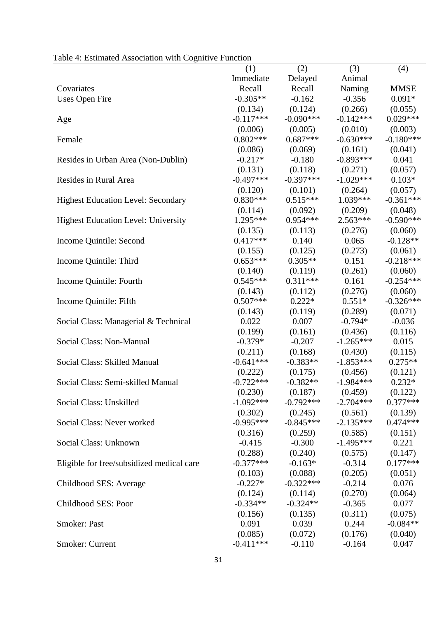| raolo 1. Estimatou i issociation with cognitive i anetion |             |             |             |             |
|-----------------------------------------------------------|-------------|-------------|-------------|-------------|
|                                                           | (1)         | (2)         | (3)         | (4)         |
|                                                           | Immediate   | Delayed     | Animal      |             |
| Covariates                                                | Recall      | Recall      | Naming      | <b>MMSE</b> |
| <b>Uses Open Fire</b>                                     | $-0.305**$  | $-0.162$    | $-0.356$    | $0.091*$    |
|                                                           | (0.134)     | (0.124)     | (0.266)     | (0.055)     |
| Age                                                       | $-0.117***$ | $-0.090***$ | $-0.142***$ | $0.029***$  |
|                                                           | (0.006)     | (0.005)     | (0.010)     | (0.003)     |
| Female                                                    | $0.802***$  | $0.687***$  | $-0.630***$ | $-0.180***$ |
|                                                           | (0.086)     | (0.069)     | (0.161)     | (0.041)     |
| Resides in Urban Area (Non-Dublin)                        | $-0.217*$   | $-0.180$    | $-0.893***$ | 0.041       |
|                                                           | (0.131)     | (0.118)     | (0.271)     | (0.057)     |
| Resides in Rural Area                                     | $-0.497***$ | $-0.397***$ | $-1.029***$ | $0.103*$    |
|                                                           | (0.120)     | (0.101)     | (0.264)     | (0.057)     |
| <b>Highest Education Level: Secondary</b>                 | $0.830***$  | $0.515***$  | $1.039***$  | $-0.361***$ |
|                                                           | (0.114)     | (0.092)     | (0.209)     | (0.048)     |
| <b>Highest Education Level: University</b>                | $1.295***$  | $0.954***$  | $2.563***$  | $-0.590***$ |
|                                                           | (0.135)     | (0.113)     | (0.276)     | (0.060)     |
| Income Quintile: Second                                   | $0.417***$  | 0.140       | 0.065       | $-0.128**$  |
|                                                           | (0.155)     | (0.125)     | (0.273)     | (0.061)     |
| Income Quintile: Third                                    | $0.653***$  | $0.305**$   | 0.151       | $-0.218***$ |
|                                                           | (0.140)     | (0.119)     | (0.261)     | (0.060)     |
| Income Quintile: Fourth                                   | $0.545***$  | $0.311***$  | 0.161       | $-0.254***$ |
|                                                           | (0.143)     | (0.112)     | (0.276)     | (0.060)     |
| Income Quintile: Fifth                                    | $0.507***$  | $0.222*$    | $0.551*$    | $-0.326***$ |
|                                                           | (0.143)     | (0.119)     | (0.289)     | (0.071)     |
| Social Class: Managerial & Technical                      | 0.022       | 0.007       | $-0.794*$   | $-0.036$    |
|                                                           | (0.199)     | (0.161)     | (0.436)     | (0.116)     |
| Social Class: Non-Manual                                  | $-0.379*$   | $-0.207$    | $-1.265***$ | 0.015       |
|                                                           | (0.211)     | (0.168)     | (0.430)     | (0.115)     |
| Social Class: Skilled Manual                              | $-0.641***$ | $-0.383**$  | $-1.853***$ | $0.275**$   |
|                                                           | (0.222)     | (0.175)     | (0.456)     | (0.121)     |
| Social Class: Semi-skilled Manual                         | $-0.722***$ | $-0.382**$  | $-1.984***$ | $0.232*$    |
|                                                           | (0.230)     | (0.187)     | (0.459)     | (0.122)     |
| Social Class: Unskilled                                   | $-1.092***$ | $-0.792***$ | $-2.704***$ | $0.377***$  |
|                                                           | (0.302)     | (0.245)     | (0.561)     | (0.139)     |
| Social Class: Never worked                                | $-0.995***$ | $-0.845***$ | $-2.135***$ | $0.474***$  |
|                                                           | (0.316)     | (0.259)     | (0.585)     | (0.151)     |
| Social Class: Unknown                                     | $-0.415$    | $-0.300$    | $-1.495***$ | 0.221       |
|                                                           | (0.288)     | (0.240)     | (0.575)     | (0.147)     |
| Eligible for free/subsidized medical care                 | $-0.377***$ | $-0.163*$   | $-0.314$    | $0.177***$  |
|                                                           | (0.103)     | (0.088)     | (0.205)     | (0.051)     |
| Childhood SES: Average                                    | $-0.227*$   | $-0.322***$ | $-0.214$    | 0.076       |
|                                                           | (0.124)     | (0.114)     | (0.270)     | (0.064)     |
| Childhood SES: Poor                                       | $-0.334**$  | $-0.324**$  | $-0.365$    | 0.077       |
|                                                           | (0.156)     | (0.135)     | (0.311)     | (0.075)     |
| Smoker: Past                                              | 0.091       | 0.039       | 0.244       | $-0.084**$  |
|                                                           | (0.085)     | (0.072)     | (0.176)     | (0.040)     |
| Smoker: Current                                           | $-0.411***$ | $-0.110$    | $-0.164$    | 0.047       |
|                                                           |             |             |             |             |

Table 4: Estimated Association with Cognitive Function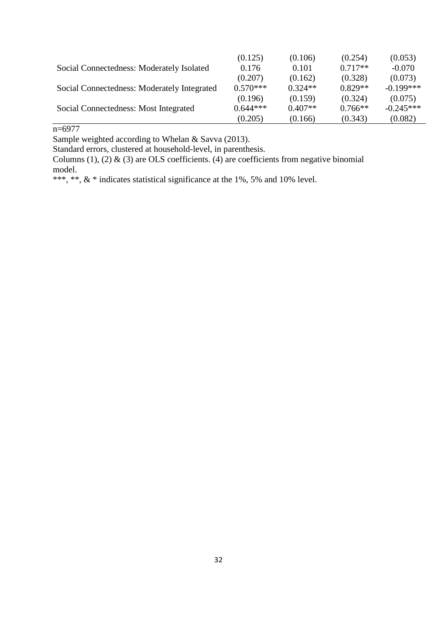|                                             | (0.125)    | (0.106)   | (0.254)   | (0.053)     |
|---------------------------------------------|------------|-----------|-----------|-------------|
| Social Connectedness: Moderately Isolated   | 0.176      | 0.101     | $0.717**$ | $-0.070$    |
|                                             | (0.207)    | (0.162)   | (0.328)   | (0.073)     |
| Social Connectedness: Moderately Integrated | $0.570***$ | $0.324**$ | $0.829**$ | $-0.199***$ |
|                                             | (0.196)    | (0.159)   | (0.324)   | (0.075)     |
| Social Connectedness: Most Integrated       | $0.644***$ | $0.407**$ | $0.766**$ | $-0.245***$ |
|                                             | (0.205)    | (0.166)   | (0.343)   | (0.082)     |

 $n=6977$ 

Sample weighted according to Whelan & Savva (2013).

Standard errors, clustered at household-level, in parenthesis.

Columns (1), (2) & (3) are OLS coefficients. (4) are coefficients from negative binomial model.

\*\*\*, \*\*, & \* indicates statistical significance at the 1%, 5% and 10% level.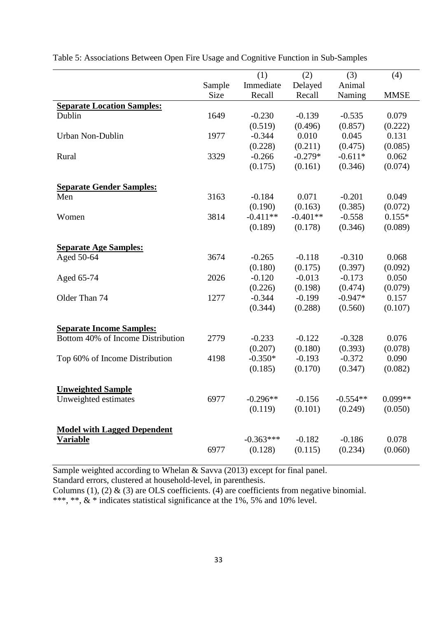|                                    |             | (1)         | (2)        | (3)        | (4)         |
|------------------------------------|-------------|-------------|------------|------------|-------------|
|                                    | Sample      | Immediate   | Delayed    | Animal     |             |
|                                    | <b>Size</b> | Recall      | Recall     | Naming     | <b>MMSE</b> |
| <b>Separate Location Samples:</b>  |             |             |            |            |             |
| Dublin                             | 1649        | $-0.230$    | $-0.139$   | $-0.535$   | 0.079       |
|                                    |             | (0.519)     | (0.496)    | (0.857)    | (0.222)     |
| Urban Non-Dublin                   | 1977        | $-0.344$    | 0.010      | 0.045      | 0.131       |
|                                    |             | (0.228)     | (0.211)    | (0.475)    | (0.085)     |
| Rural                              | 3329        | $-0.266$    | $-0.279*$  | $-0.611*$  | 0.062       |
|                                    |             | (0.175)     | (0.161)    | (0.346)    | (0.074)     |
| <b>Separate Gender Samples:</b>    |             |             |            |            |             |
| Men                                | 3163        | $-0.184$    | 0.071      | $-0.201$   | 0.049       |
|                                    |             | (0.190)     | (0.163)    | (0.385)    | (0.072)     |
| Women                              | 3814        | $-0.411**$  | $-0.401**$ | $-0.558$   | $0.155*$    |
|                                    |             | (0.189)     | (0.178)    | (0.346)    | (0.089)     |
| <b>Separate Age Samples:</b>       |             |             |            |            |             |
| Aged 50-64                         | 3674        | $-0.265$    | $-0.118$   | $-0.310$   | 0.068       |
|                                    |             | (0.180)     | (0.175)    | (0.397)    | (0.092)     |
| Aged 65-74                         | 2026        | $-0.120$    | $-0.013$   | $-0.173$   | 0.050       |
|                                    |             | (0.226)     | (0.198)    | (0.474)    | (0.079)     |
| Older Than 74                      | 1277        | $-0.344$    | $-0.199$   | $-0.947*$  | 0.157       |
|                                    |             | (0.344)     | (0.288)    | (0.560)    | (0.107)     |
| <b>Separate Income Samples:</b>    |             |             |            |            |             |
| Bottom 40% of Income Distribution  | 2779        | $-0.233$    | $-0.122$   | $-0.328$   | 0.076       |
|                                    |             | (0.207)     | (0.180)    | (0.393)    | (0.078)     |
| Top 60% of Income Distribution     | 4198        | $-0.350*$   | $-0.193$   | $-0.372$   | 0.090       |
|                                    |             | (0.185)     | (0.170)    | (0.347)    | (0.082)     |
|                                    |             |             |            |            |             |
| <b>Unweighted Sample</b>           | 6977        | $-0.296**$  | $-0.156$   | $-0.554**$ | $0.099**$   |
| Unweighted estimates               |             | (0.119)     | (0.101)    | (0.249)    | (0.050)     |
|                                    |             |             |            |            |             |
| <b>Model with Lagged Dependent</b> |             |             |            |            |             |
| <b>Variable</b>                    |             | $-0.363***$ | $-0.182$   | $-0.186$   | 0.078       |
|                                    | 6977        | (0.128)     | (0.115)    | (0.234)    | (0.060)     |

Table 5: Associations Between Open Fire Usage and Cognitive Function in Sub-Samples

Sample weighted according to Whelan & Savva (2013) except for final panel.

Standard errors, clustered at household-level, in parenthesis.

Columns (1), (2)  $\&$  (3) are OLS coefficients. (4) are coefficients from negative binomial.

\*\*\*, \*\*, & \* indicates statistical significance at the 1%, 5% and 10% level.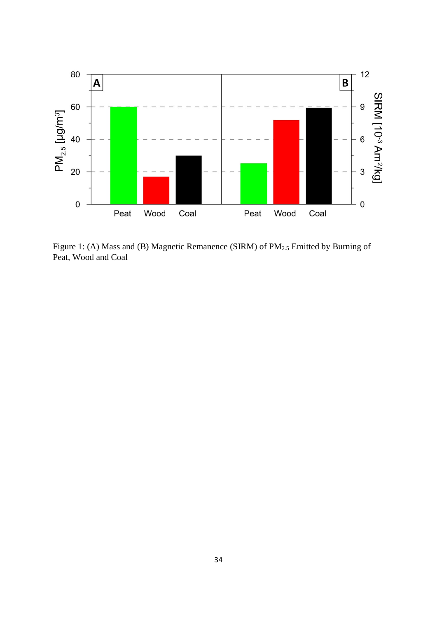

Figure 1: (A) Mass and (B) Magnetic Remanence (SIRM) of PM<sub>2.5</sub> Emitted by Burning of Peat, Wood and Coal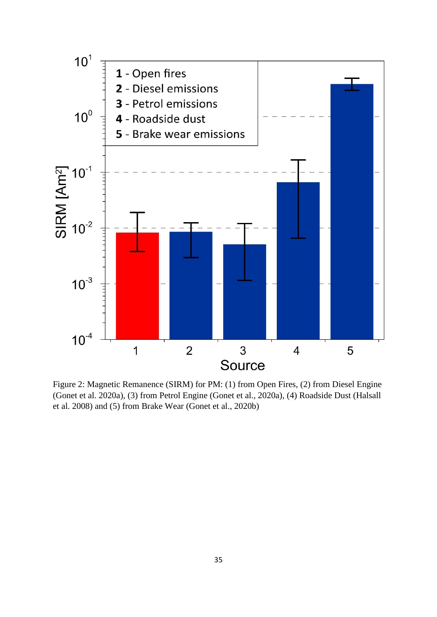

Figure 2: Magnetic Remanence (SIRM) for PM: (1) from Open Fires, (2) from Diesel Engine (Gonet et al. 2020a), (3) from Petrol Engine (Gonet et al., 2020a), (4) Roadside Dust (Halsall et al. 2008) and (5) from Brake Wear (Gonet et al., 2020b)